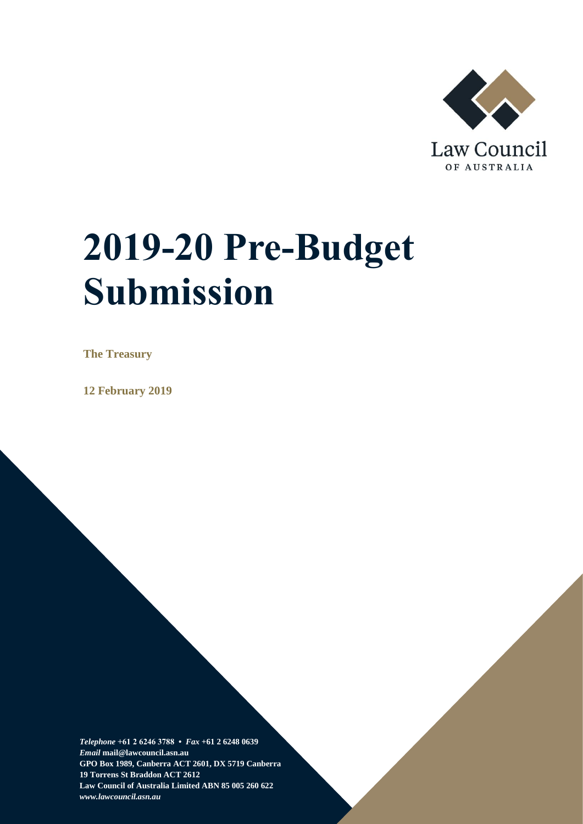

# **2019-20 Pre-Budget Submission**

**The Treasury**

**12 February 2019**

*Telephone* **+61 2 6246 3788 •** *Fax* **+61 2 6248 0639**  *Email* **mail@lawcouncil.asn.au GPO Box 1989, Canberra ACT 2601, DX 5719 Canberra 19 Torrens St Braddon ACT 2612 Law Council of Australia Limited ABN 85 005 260 622** *www.lawcouncil.asn.au*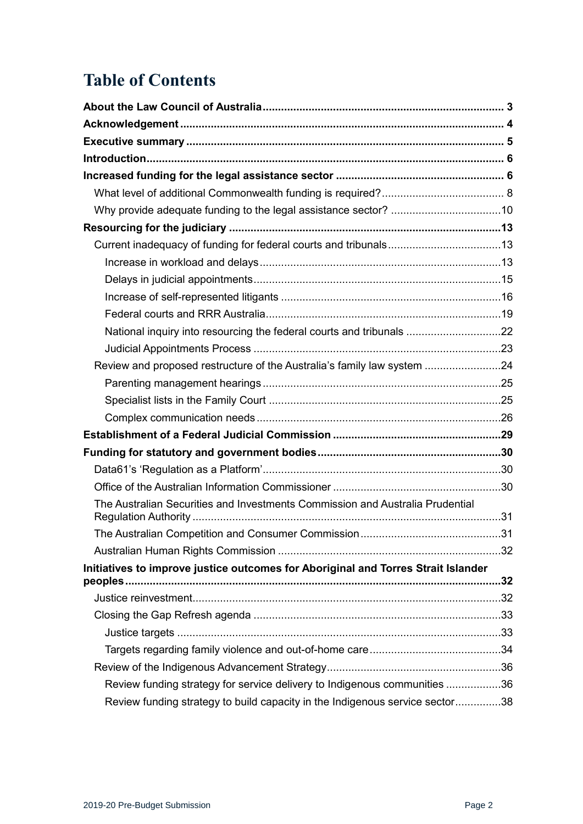# **Table of Contents**

| National inquiry into resourcing the federal courts and tribunals 22              |     |
|-----------------------------------------------------------------------------------|-----|
|                                                                                   |     |
| Review and proposed restructure of the Australia's family law system 24           |     |
|                                                                                   |     |
|                                                                                   |     |
|                                                                                   |     |
|                                                                                   |     |
|                                                                                   |     |
|                                                                                   |     |
|                                                                                   |     |
| The Australian Securities and Investments Commission and Australia Prudential     |     |
|                                                                                   | .31 |
|                                                                                   |     |
| Initiatives to improve justice outcomes for Aboriginal and Torres Strait Islander |     |
|                                                                                   |     |
|                                                                                   |     |
|                                                                                   |     |
|                                                                                   |     |
|                                                                                   |     |
| Review funding strategy for service delivery to Indigenous communities 36         |     |
| Review funding strategy to build capacity in the Indigenous service sector38      |     |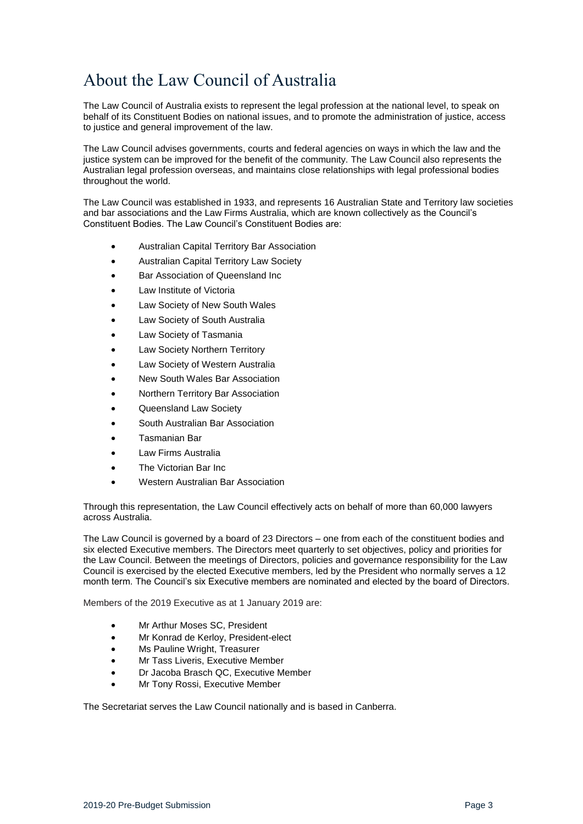# <span id="page-2-0"></span>About the Law Council of Australia

The Law Council of Australia exists to represent the legal profession at the national level, to speak on behalf of its Constituent Bodies on national issues, and to promote the administration of justice, access to justice and general improvement of the law.

The Law Council advises governments, courts and federal agencies on ways in which the law and the justice system can be improved for the benefit of the community. The Law Council also represents the Australian legal profession overseas, and maintains close relationships with legal professional bodies throughout the world.

The Law Council was established in 1933, and represents 16 Australian State and Territory law societies and bar associations and the Law Firms Australia, which are known collectively as the Council's Constituent Bodies. The Law Council's Constituent Bodies are:

- Australian Capital Territory Bar Association
- Australian Capital Territory Law Society
- Bar Association of Queensland Inc
- Law Institute of Victoria
- Law Society of New South Wales
- Law Society of South Australia
- Law Society of Tasmania
- Law Society Northern Territory
- Law Society of Western Australia
- New South Wales Bar Association
- Northern Territory Bar Association
- Queensland Law Society
- South Australian Bar Association
- Tasmanian Bar
- Law Firms Australia
- The Victorian Bar Inc
- Western Australian Bar Association

Through this representation, the Law Council effectively acts on behalf of more than 60,000 lawyers across Australia.

The Law Council is governed by a board of 23 Directors – one from each of the constituent bodies and six elected Executive members. The Directors meet quarterly to set objectives, policy and priorities for the Law Council. Between the meetings of Directors, policies and governance responsibility for the Law Council is exercised by the elected Executive members, led by the President who normally serves a 12 month term. The Council's six Executive members are nominated and elected by the board of Directors.

Members of the 2019 Executive as at 1 January 2019 are:

- Mr Arthur Moses SC, President
- Mr Konrad de Kerloy, President-elect
- Ms Pauline Wright, Treasurer
- Mr Tass Liveris, Executive Member
- Dr Jacoba Brasch QC, Executive Member
- Mr Tony Rossi, Executive Member

The Secretariat serves the Law Council nationally and is based in Canberra.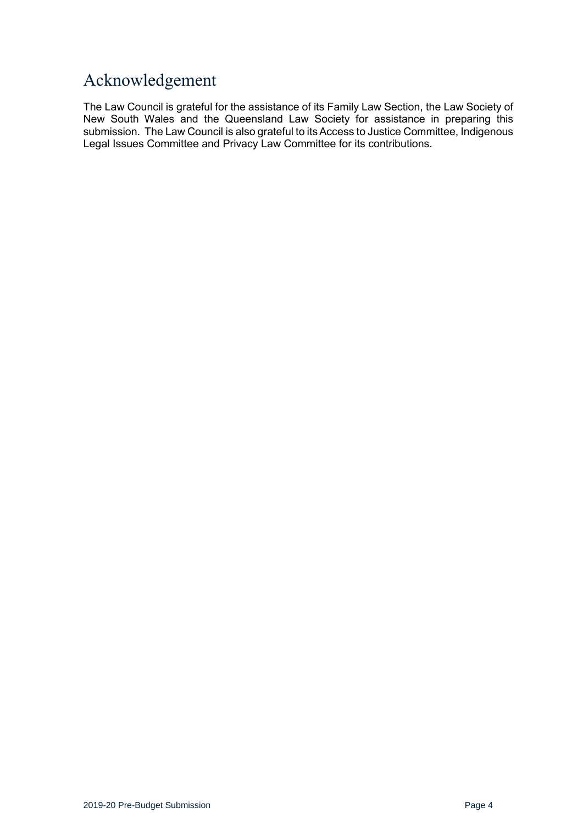# <span id="page-3-0"></span>Acknowledgement

The Law Council is grateful for the assistance of its Family Law Section, the Law Society of New South Wales and the Queensland Law Society for assistance in preparing this submission. The Law Council is also grateful to its Access to Justice Committee, Indigenous Legal Issues Committee and Privacy Law Committee for its contributions.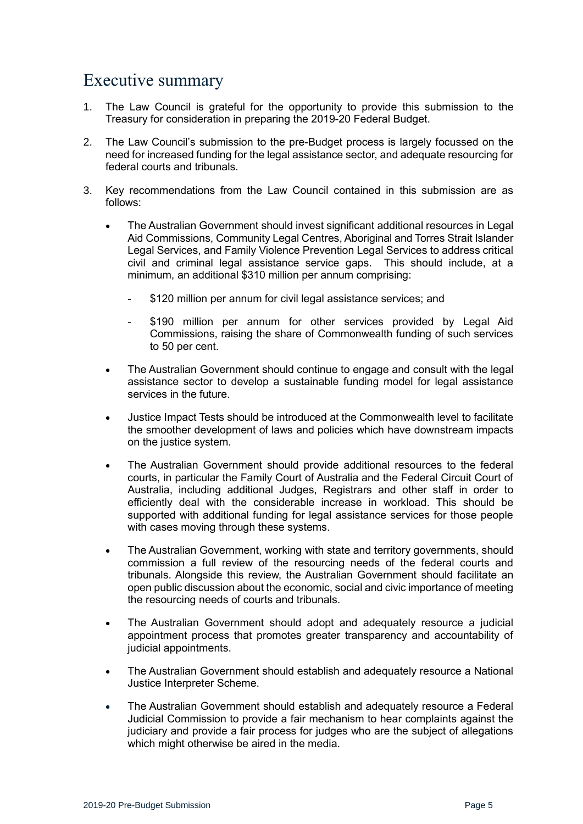# <span id="page-4-0"></span>Executive summary

- 1. The Law Council is grateful for the opportunity to provide this submission to the Treasury for consideration in preparing the 2019-20 Federal Budget.
- 2. The Law Council's submission to the pre-Budget process is largely focussed on the need for increased funding for the legal assistance sector, and adequate resourcing for federal courts and tribunals.
- 3. Key recommendations from the Law Council contained in this submission are as follows:
	- The Australian Government should invest significant additional resources in Legal Aid Commissions, Community Legal Centres, Aboriginal and Torres Strait Islander Legal Services, and Family Violence Prevention Legal Services to address critical civil and criminal legal assistance service gaps. This should include, at a minimum, an additional \$310 million per annum comprising:
		- \$120 million per annum for civil legal assistance services; and
		- \$190 million per annum for other services provided by Legal Aid Commissions, raising the share of Commonwealth funding of such services to 50 per cent.
	- The Australian Government should continue to engage and consult with the legal assistance sector to develop a sustainable funding model for legal assistance services in the future.
	- Justice Impact Tests should be introduced at the Commonwealth level to facilitate the smoother development of laws and policies which have downstream impacts on the justice system.
	- The Australian Government should provide additional resources to the federal courts, in particular the Family Court of Australia and the Federal Circuit Court of Australia, including additional Judges, Registrars and other staff in order to efficiently deal with the considerable increase in workload. This should be supported with additional funding for legal assistance services for those people with cases moving through these systems.
	- The Australian Government, working with state and territory governments, should commission a full review of the resourcing needs of the federal courts and tribunals. Alongside this review, the Australian Government should facilitate an open public discussion about the economic, social and civic importance of meeting the resourcing needs of courts and tribunals.
	- The Australian Government should adopt and adequately resource a judicial appointment process that promotes greater transparency and accountability of judicial appointments.
	- The Australian Government should establish and adequately resource a National Justice Interpreter Scheme.
	- The Australian Government should establish and adequately resource a Federal Judicial Commission to provide a fair mechanism to hear complaints against the judiciary and provide a fair process for judges who are the subject of allegations which might otherwise be aired in the media.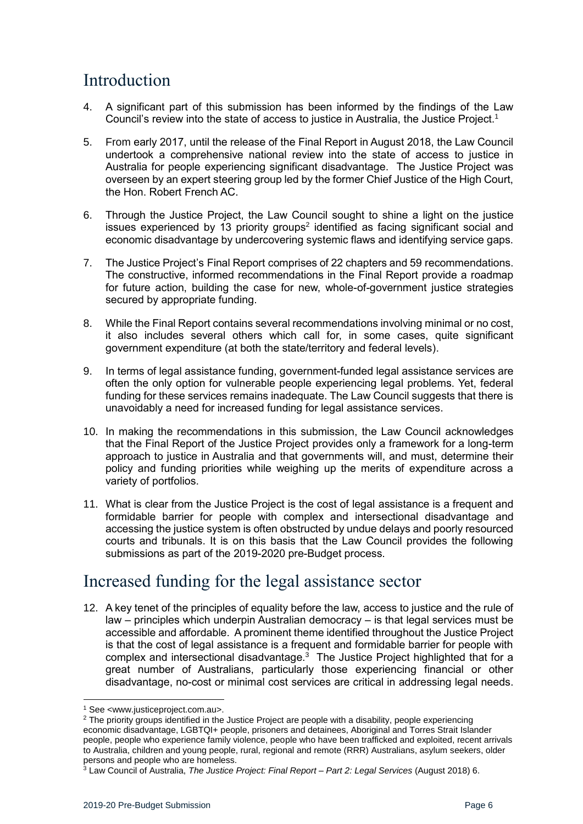# <span id="page-5-0"></span>Introduction

- 4. A significant part of this submission has been informed by the findings of the Law Council's review into the state of access to justice in Australia, the Justice Project.<sup>1</sup>
- 5. From early 2017, until the release of the Final Report in August 2018, the Law Council undertook a comprehensive national review into the state of access to justice in Australia for people experiencing significant disadvantage. The Justice Project was overseen by an expert steering group led by the former Chief Justice of the High Court, the Hon. Robert French AC.
- 6. Through the Justice Project, the Law Council sought to shine a light on the justice issues experienced by 13 priority groups<sup>2</sup> identified as facing significant social and economic disadvantage by undercovering systemic flaws and identifying service gaps.
- 7. The Justice Project's Final Report comprises of 22 chapters and 59 recommendations. The constructive, informed recommendations in the Final Report provide a roadmap for future action, building the case for new, whole-of-government justice strategies secured by appropriate funding.
- 8. While the Final Report contains several recommendations involving minimal or no cost, it also includes several others which call for, in some cases, quite significant government expenditure (at both the state/territory and federal levels).
- 9. In terms of legal assistance funding, government-funded legal assistance services are often the only option for vulnerable people experiencing legal problems. Yet, federal funding for these services remains inadequate. The Law Council suggests that there is unavoidably a need for increased funding for legal assistance services.
- 10. In making the recommendations in this submission, the Law Council acknowledges that the Final Report of the Justice Project provides only a framework for a long-term approach to justice in Australia and that governments will, and must, determine their policy and funding priorities while weighing up the merits of expenditure across a variety of portfolios.
- 11. What is clear from the Justice Project is the cost of legal assistance is a frequent and formidable barrier for people with complex and intersectional disadvantage and accessing the justice system is often obstructed by undue delays and poorly resourced courts and tribunals. It is on this basis that the Law Council provides the following submissions as part of the 2019-2020 pre-Budget process.

# <span id="page-5-1"></span>Increased funding for the legal assistance sector

12. A key tenet of the principles of equality before the law, access to justice and the rule of law – principles which underpin Australian democracy – is that legal services must be accessible and affordable. A prominent theme identified throughout the Justice Project is that the cost of legal assistance is a frequent and formidable barrier for people with complex and intersectional disadvantage. $3$  The Justice Project highlighted that for a great number of Australians, particularly those experiencing financial or other disadvantage, no-cost or minimal cost services are critical in addressing legal needs.

<sup>1</sup> See <www.justiceproject.com.au>.

<sup>&</sup>lt;sup>2</sup> The priority groups identified in the Justice Project are people with a disability, people experiencing economic disadvantage, LGBTQI+ people, prisoners and detainees, Aboriginal and Torres Strait Islander people, people who experience family violence, people who have been trafficked and exploited, recent arrivals to Australia, children and young people, rural, regional and remote (RRR) Australians, asylum seekers, older persons and people who are homeless.

<sup>3</sup> Law Council of Australia, *The Justice Project: Final Report – Part 2: Legal Services* (August 2018) 6.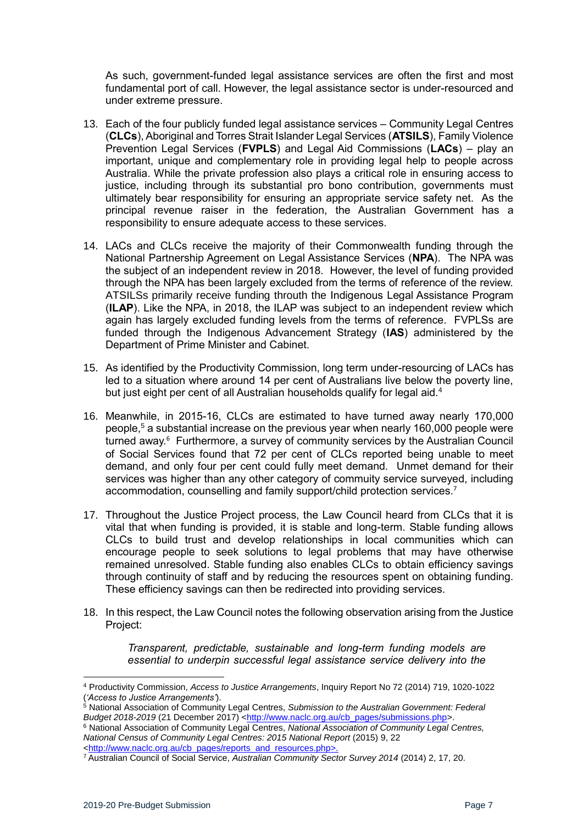As such, government-funded legal assistance services are often the first and most fundamental port of call. However, the legal assistance sector is under-resourced and under extreme pressure.

- 13. Each of the four publicly funded legal assistance services Community Legal Centres (**CLCs**), Aboriginal and Torres Strait Islander Legal Services (**ATSILS**), Family Violence Prevention Legal Services (**FVPLS**) and Legal Aid Commissions (**LACs**) – play an important, unique and complementary role in providing legal help to people across Australia. While the private profession also plays a critical role in ensuring access to justice, including through its substantial pro bono contribution, governments must ultimately bear responsibility for ensuring an appropriate service safety net. As the principal revenue raiser in the federation, the Australian Government has a responsibility to ensure adequate access to these services.
- 14. LACs and CLCs receive the majority of their Commonwealth funding through the National Partnership Agreement on Legal Assistance Services (**NPA**). The NPA was the subject of an independent review in 2018. However, the level of funding provided through the NPA has been largely excluded from the terms of reference of the review. ATSILSs primarily receive funding throuth the Indigenous Legal Assistance Program (**ILAP**). Like the NPA, in 2018, the ILAP was subject to an independent review which again has largely excluded funding levels from the terms of reference. FVPLSs are funded through the Indigenous Advancement Strategy (**IAS**) administered by the Department of Prime Minister and Cabinet.
- 15. As identified by the Productivity Commission, long term under-resourcing of LACs has led to a situation where around 14 per cent of Australians live below the poverty line, but just eight per cent of all Australian households qualify for legal aid.<sup>4</sup>
- 16. Meanwhile, in 2015-16, CLCs are estimated to have turned away nearly 170,000 people,<sup>5</sup> a substantial increase on the previous year when nearly 160,000 people were turned away.<sup>6</sup> Furthermore, a survey of community services by the Australian Council of Social Services found that 72 per cent of CLCs reported being unable to meet demand, and only four per cent could fully meet demand. Unmet demand for their services was higher than any other category of commuity service surveyed, including accommodation, counselling and family support/child protection services.<sup>7</sup>
- 17. Throughout the Justice Project process, the Law Council heard from CLCs that it is vital that when funding is provided, it is stable and long-term. Stable funding allows CLCs to build trust and develop relationships in local communities which can encourage people to seek solutions to legal problems that may have otherwise remained unresolved. Stable funding also enables CLCs to obtain efficiency savings through continuity of staff and by reducing the resources spent on obtaining funding. These efficiency savings can then be redirected into providing services.
- 18. In this respect, the Law Council notes the following observation arising from the Justice Project:

*Transparent, predictable, sustainable and long-term funding models are essential to underpin successful legal assistance service delivery into the* 

<sup>4</sup> Productivity Commission, *Access to Justice Arrangements*, Inquiry Report No 72 (2014) 719, 1020-1022 (*'Access to Justice Arrangements'*).

<sup>5</sup> National Association of Community Legal Centres, *Submission to the Australian Government: Federal Budget 2018-2019* (21 December 2017) <http://www.naclc.org.au/cb\_pages/submissions.php>.

<sup>6</sup> National Association of Community Legal Centres, *National Association of Community Legal Centres, National Census of Community Legal Centres: 2015 National Report* (2015) 9, 22 <http://www.naclc.org.au/cb\_pages/reports\_and\_resources.php>.

<sup>7</sup> Australian Council of Social Service, *Australian Community Sector Survey 2014* (2014) 2, 17, 20.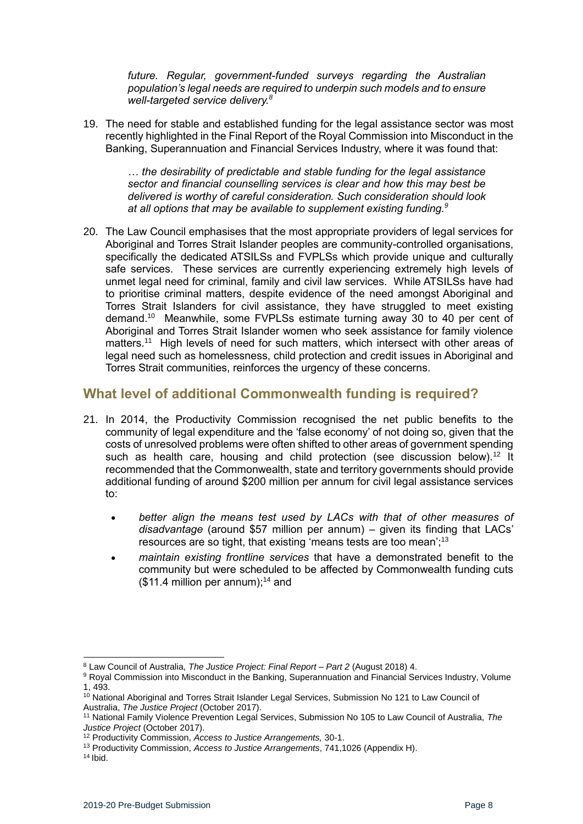*future. Regular, government-funded surveys regarding the Australian population's legal needs are required to underpin such models and to ensure well-targeted service delivery.<sup>8</sup>*

19. The need for stable and established funding for the legal assistance sector was most recently highlighted in the Final Report of the Royal Commission into Misconduct in the Banking, Superannuation and Financial Services Industry, where it was found that:

*… the desirability of predictable and stable funding for the legal assistance sector and financial counselling services is clear and how this may best be delivered is worthy of careful consideration. Such consideration should look at all options that may be available to supplement existing funding.<sup>9</sup>*

20. The Law Council emphasises that the most appropriate providers of legal services for Aboriginal and Torres Strait Islander peoples are community-controlled organisations, specifically the dedicated ATSILSs and FVPLSs which provide unique and culturally safe services. These services are currently experiencing extremely high levels of unmet legal need for criminal, family and civil law services. While ATSILSs have had to prioritise criminal matters, despite evidence of the need amongst Aboriginal and Torres Strait Islanders for civil assistance, they have struggled to meet existing demand.<sup>10</sup> Meanwhile, some FVPLSs estimate turning away 30 to 40 per cent of Aboriginal and Torres Strait Islander women who seek assistance for family violence matters.<sup>11</sup> High levels of need for such matters, which intersect with other areas of legal need such as homelessness, child protection and credit issues in Aboriginal and Torres Strait communities, reinforces the urgency of these concerns.

## <span id="page-7-0"></span>**What level of additional Commonwealth funding is required?**

- 21. In 2014, the Productivity Commission recognised the net public benefits to the community of legal expenditure and the 'false economy' of not doing so, given that the costs of unresolved problems were often shifted to other areas of government spending such as health care, housing and child protection (see discussion below).<sup>12</sup> It recommended that the Commonwealth, state and territory governments should provide additional funding of around \$200 million per annum for civil legal assistance services to:
	- *better align the means test used by LACs with that of other measures of disadvantage* (around \$57 million per annum) – given its finding that LACs' resources are so tight, that existing 'means tests are too mean';<sup>13</sup>
	- *maintain existing frontline services* that have a demonstrated benefit to the community but were scheduled to be affected by Commonwealth funding cuts  $($11.4$  million per annum):<sup>14</sup> and

<sup>-</sup><sup>8</sup> Law Council of Australia, *The Justice Project: Final Report – Part 2* (August 2018) 4.

<sup>9</sup> Royal Commission into Misconduct in the Banking, Superannuation and Financial Services Industry, Volume 1, 493.

<sup>&</sup>lt;sup>10</sup> National Aboriginal and Torres Strait Islander Legal Services, Submission No 121 to Law Council of Australia, *The Justice Project* (October 2017).

<sup>11</sup> National Family Violence Prevention Legal Services, Submission No 105 to Law Council of Australia, *The Justice Project* (October 2017).

<sup>12</sup> Productivity Commission, *Access to Justice Arrangements,* 30-1.

<sup>13</sup> Productivity Commission, *Access to Justice Arrangements*, 741,1026 (Appendix H).

 $14$  Ibid.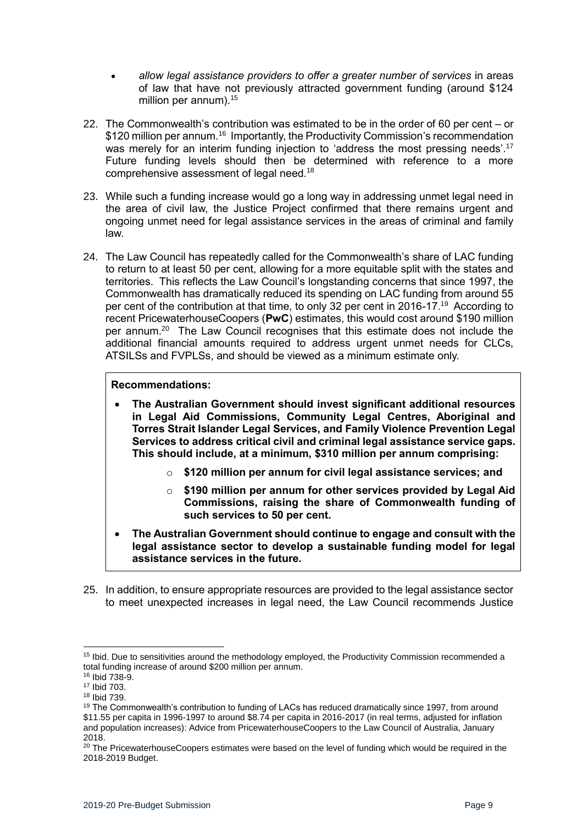- *allow legal assistance providers to offer a greater number of services* in areas of law that have not previously attracted government funding (around \$124 million per annum).<sup>15</sup>
- 22. The Commonwealth's contribution was estimated to be in the order of 60 per cent or \$120 million per annum.<sup>16</sup> Importantly, the Productivity Commission's recommendation was merely for an interim funding injection to 'address the most pressing needs'.<sup>17</sup> Future funding levels should then be determined with reference to a more comprehensive assessment of legal need.<sup>18</sup>
- 23. While such a funding increase would go a long way in addressing unmet legal need in the area of civil law, the Justice Project confirmed that there remains urgent and ongoing unmet need for legal assistance services in the areas of criminal and family law.
- 24. The Law Council has repeatedly called for the Commonwealth's share of LAC funding to return to at least 50 per cent, allowing for a more equitable split with the states and territories. This reflects the Law Council's longstanding concerns that since 1997, the Commonwealth has dramatically reduced its spending on LAC funding from around 55 per cent of the contribution at that time, to only 32 per cent in 2016-17.<sup>19</sup> According to recent PricewaterhouseCoopers (**PwC**) estimates, this would cost around \$190 million per annum.<sup>20</sup> The Law Council recognises that this estimate does not include the additional financial amounts required to address urgent unmet needs for CLCs, ATSILSs and FVPLSs, and should be viewed as a minimum estimate only.

#### **Recommendations:**

- **The Australian Government should invest significant additional resources in Legal Aid Commissions, Community Legal Centres, Aboriginal and Torres Strait Islander Legal Services, and Family Violence Prevention Legal Services to address critical civil and criminal legal assistance service gaps. This should include, at a minimum, \$310 million per annum comprising:** 
	- o **\$120 million per annum for civil legal assistance services; and**
	- o **\$190 million per annum for other services provided by Legal Aid Commissions, raising the share of Commonwealth funding of such services to 50 per cent.**
- **The Australian Government should continue to engage and consult with the legal assistance sector to develop a sustainable funding model for legal assistance services in the future.**
- 25. In addition, to ensure appropriate resources are provided to the legal assistance sector to meet unexpected increases in legal need, the Law Council recommends Justice

<sup>1</sup> <sup>15</sup> Ibid. Due to sensitivities around the methodology employed, the Productivity Commission recommended a total funding increase of around \$200 million per annum.

<sup>16</sup> Ibid 738-9.

<sup>17</sup> Ibid 703.

<sup>18</sup> Ibid 739.

<sup>&</sup>lt;sup>19</sup> The Commonwealth's contribution to funding of LACs has reduced dramatically since 1997, from around \$11.55 per capita in 1996-1997 to around \$8.74 per capita in 2016-2017 (in real terms, adjusted for inflation and population increases): Advice from PricewaterhouseCoopers to the Law Council of Australia, January 2018.

<sup>&</sup>lt;sup>20</sup> The PricewaterhouseCoopers estimates were based on the level of funding which would be required in the 2018-2019 Budget.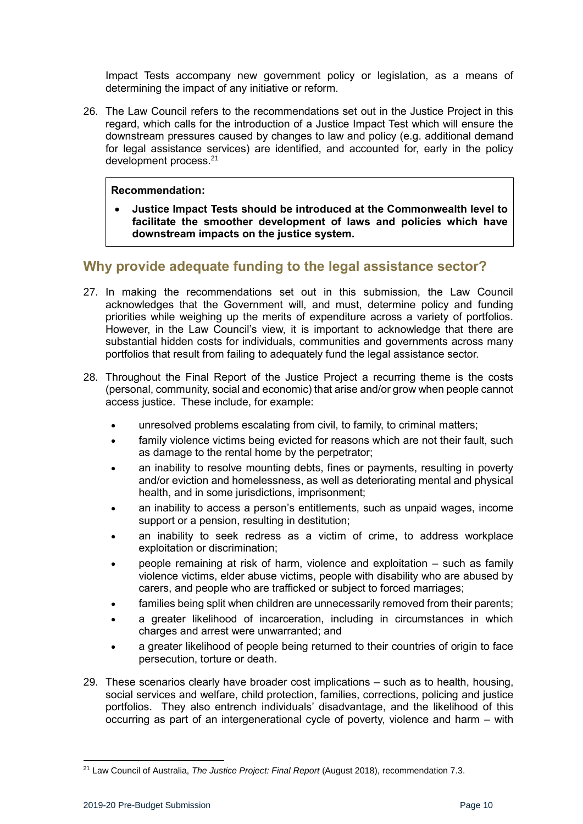Impact Tests accompany new government policy or legislation, as a means of determining the impact of any initiative or reform.

26. The Law Council refers to the recommendations set out in the Justice Project in this regard, which calls for the introduction of a Justice Impact Test which will ensure the downstream pressures caused by changes to law and policy (e.g. additional demand for legal assistance services) are identified, and accounted for, early in the policy development process.<sup>21</sup>

#### **Recommendation:**

• **Justice Impact Tests should be introduced at the Commonwealth level to facilitate the smoother development of laws and policies which have downstream impacts on the justice system.**

## <span id="page-9-0"></span>**Why provide adequate funding to the legal assistance sector?**

- 27. In making the recommendations set out in this submission, the Law Council acknowledges that the Government will, and must, determine policy and funding priorities while weighing up the merits of expenditure across a variety of portfolios. However, in the Law Council's view, it is important to acknowledge that there are substantial hidden costs for individuals, communities and governments across many portfolios that result from failing to adequately fund the legal assistance sector.
- 28. Throughout the Final Report of the Justice Project a recurring theme is the costs (personal, community, social and economic) that arise and/or grow when people cannot access justice. These include, for example:
	- unresolved problems escalating from civil, to family, to criminal matters;
	- family violence victims being evicted for reasons which are not their fault, such as damage to the rental home by the perpetrator;
	- an inability to resolve mounting debts, fines or payments, resulting in poverty and/or eviction and homelessness, as well as deteriorating mental and physical health, and in some jurisdictions, imprisonment;
	- an inability to access a person's entitlements, such as unpaid wages, income support or a pension, resulting in destitution;
	- an inability to seek redress as a victim of crime, to address workplace exploitation or discrimination;
	- people remaining at risk of harm, violence and exploitation such as family violence victims, elder abuse victims, people with disability who are abused by carers, and people who are trafficked or subject to forced marriages;
	- families being split when children are unnecessarily removed from their parents;
	- a greater likelihood of incarceration, including in circumstances in which charges and arrest were unwarranted; and
	- a greater likelihood of people being returned to their countries of origin to face persecution, torture or death.
- 29. These scenarios clearly have broader cost implications such as to health, housing, social services and welfare, child protection, families, corrections, policing and justice portfolios. They also entrench individuals' disadvantage, and the likelihood of this occurring as part of an intergenerational cycle of poverty, violence and harm – with

<sup>21</sup> Law Council of Australia, *The Justice Project: Final Report* (August 2018), recommendation 7.3.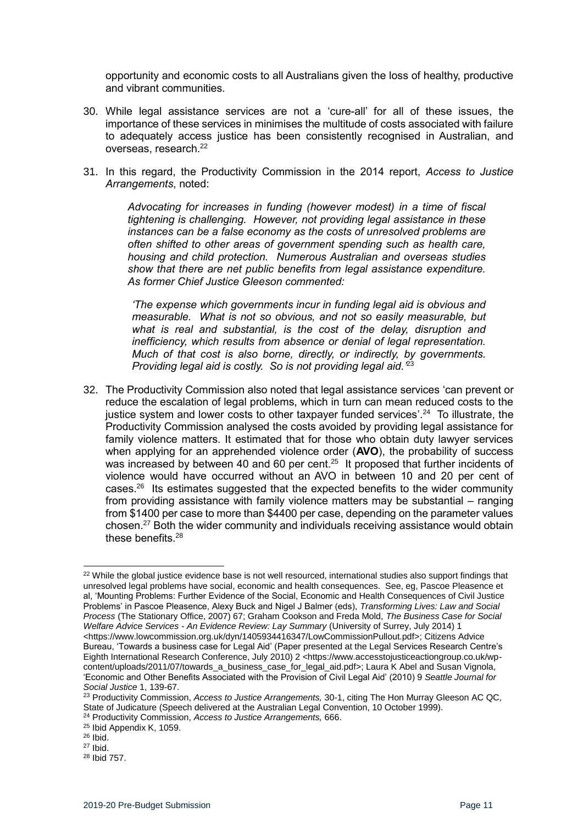opportunity and economic costs to all Australians given the loss of healthy, productive and vibrant communities.

- 30. While legal assistance services are not a 'cure-all' for all of these issues, the importance of these services in minimises the multitude of costs associated with failure to adequately access justice has been consistently recognised in Australian, and overseas, research.<sup>22</sup>
- 31. In this regard, the Productivity Commission in the 2014 report, *Access to Justice Arrangements*, noted:

*Advocating for increases in funding (however modest) in a time of fiscal tightening is challenging. However, not providing legal assistance in these instances can be a false economy as the costs of unresolved problems are often shifted to other areas of government spending such as health care, housing and child protection. Numerous Australian and overseas studies show that there are net public benefits from legal assistance expenditure. As former Chief Justice Gleeson commented:*

*'The expense which governments incur in funding legal aid is obvious and measurable. What is not so obvious, and not so easily measurable, but what is real and substantial, is the cost of the delay, disruption and inefficiency, which results from absence or denial of legal representation. Much of that cost is also borne, directly, or indirectly, by governments. Providing legal aid is costly. So is not providing legal aid.'* 23

32. The Productivity Commission also noted that legal assistance services 'can prevent or reduce the escalation of legal problems, which in turn can mean reduced costs to the justice system and lower costs to other taxpayer funded services'.<sup>24</sup> To illustrate, the Productivity Commission analysed the costs avoided by providing legal assistance for family violence matters. It estimated that for those who obtain duty lawyer services when applying for an apprehended violence order (**AVO**), the probability of success was increased by between 40 and 60 per cent. $25$  It proposed that further incidents of violence would have occurred without an AVO in between 10 and 20 per cent of cases. $26$  Its estimates suggested that the expected benefits to the wider community from providing assistance with family violence matters may be substantial – ranging from \$1400 per case to more than \$4400 per case, depending on the parameter values chosen.<sup>27</sup> Both the wider community and individuals receiving assistance would obtain these benefits.<sup>28</sup>

<sup>&</sup>lt;sup>22</sup> While the global justice evidence base is not well resourced, international studies also support findings that unresolved legal problems have social, economic and health consequences. See, eg, Pascoe Pleasence et al, 'Mounting Problems: Further Evidence of the Social, Economic and Health Consequences of Civil Justice Problems' in Pascoe Pleasence, Alexy Buck and Nigel J Balmer (eds), *Transforming Lives: Law and Social Process* (The Stationary Office, 2007) 67; Graham Cookson and Freda Mold, *The Business Case for Social Welfare Advice Services - An Evidence Review: Lay Summary* (University of Surrey, July 2014) 1 <https://www.lowcommission.org.uk/dyn/1405934416347/LowCommissionPullout.pdf>; Citizens Advice Bureau, 'Towards a business case for Legal Aid' (Paper presented at the Legal Services Research Centre's Eighth International Research Conference, July 2010) 2 <https://www.accesstojusticeactiongroup.co.uk/wpcontent/uploads/2011/07/towards\_a\_business\_case\_for\_legal\_aid.pdf>; Laura K Abel and Susan Vignola, 'Economic and Other Benefits Associated with the Provision of Civil Legal Aid' (2010) 9 *Seattle Journal for* 

*Social Justice* 1, 139-67.

<sup>23</sup> Productivity Commission, *Access to Justice Arrangements,* 30-1, citing The Hon Murray Gleeson AC QC, State of Judicature (Speech delivered at the Australian Legal Convention, 10 October 1999).

<sup>24</sup> Productivity Commission, *Access to Justice Arrangements,* 666.

<sup>25</sup> Ibid Appendix K, 1059.

<sup>26</sup> Ibid.

<sup>27</sup> Ibid.

<sup>28</sup> Ibid 757.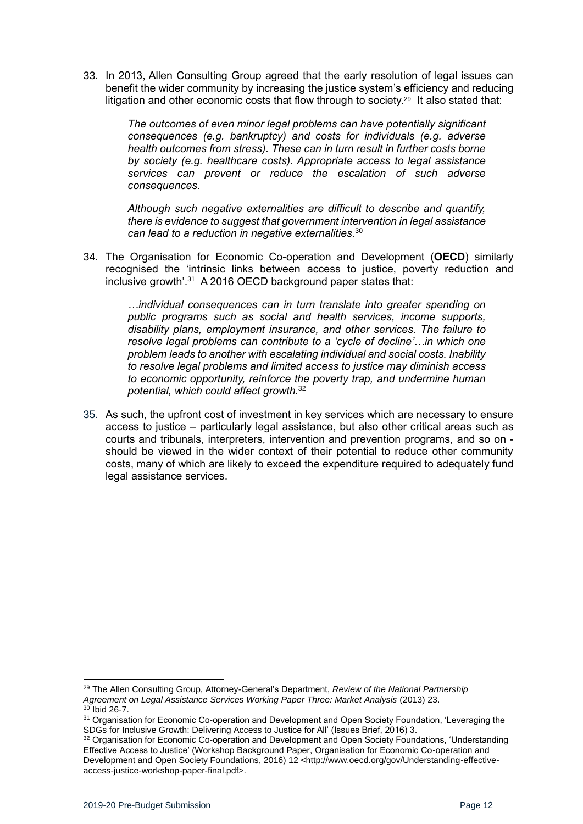33. In 2013, Allen Consulting Group agreed that the early resolution of legal issues can benefit the wider community by increasing the justice system's efficiency and reducing litigation and other economic costs that flow through to society.<sup>29</sup> It also stated that:

> *The outcomes of even minor legal problems can have potentially significant consequences (e.g. bankruptcy) and costs for individuals (e.g. adverse health outcomes from stress). These can in turn result in further costs borne by society (e.g. healthcare costs). Appropriate access to legal assistance services can prevent or reduce the escalation of such adverse consequences.*

> *Although such negative externalities are difficult to describe and quantify, there is evidence to suggest that government intervention in legal assistance can lead to a reduction in negative externalities.*<sup>30</sup>

34. The Organisation for Economic Co-operation and Development (**OECD**) similarly recognised the 'intrinsic links between access to justice, poverty reduction and inclusive growth'.<sup>31</sup> A 2016 OECD background paper states that:

> *…individual consequences can in turn translate into greater spending on public programs such as social and health services, income supports, disability plans, employment insurance, and other services. The failure to resolve legal problems can contribute to a 'cycle of decline'…in which one problem leads to another with escalating individual and social costs. Inability to resolve legal problems and limited access to justice may diminish access to economic opportunity, reinforce the poverty trap, and undermine human potential, which could affect growth.*<sup>32</sup>

35. As such, the upfront cost of investment in key services which are necessary to ensure access to justice – particularly legal assistance, but also other critical areas such as courts and tribunals, interpreters, intervention and prevention programs, and so on should be viewed in the wider context of their potential to reduce other community costs, many of which are likely to exceed the expenditure required to adequately fund legal assistance services.

<sup>1</sup> <sup>29</sup> The Allen Consulting Group, Attorney-General's Department, *Review of the National Partnership*  Agreement on Legal Assistance Services Working Paper Three: Market Analysis (2013) 23.

 $30$  Ibid 26-7.

<sup>&</sup>lt;sup>31</sup> Organisation for Economic Co-operation and Development and Open Society Foundation, 'Leveraging the SDGs for Inclusive Growth: Delivering Access to Justice for All' (Issues Brief, 2016) 3.

<sup>&</sup>lt;sup>32</sup> Organisation for Economic Co-operation and Development and Open Society Foundations, 'Understanding Effective Access to Justice' (Workshop Background Paper, Organisation for Economic Co-operation and Development and Open Society Foundations, 2016) 12 <http://www.oecd.org/gov/Understanding-effectiveaccess-justice-workshop-paper-final.pdf>.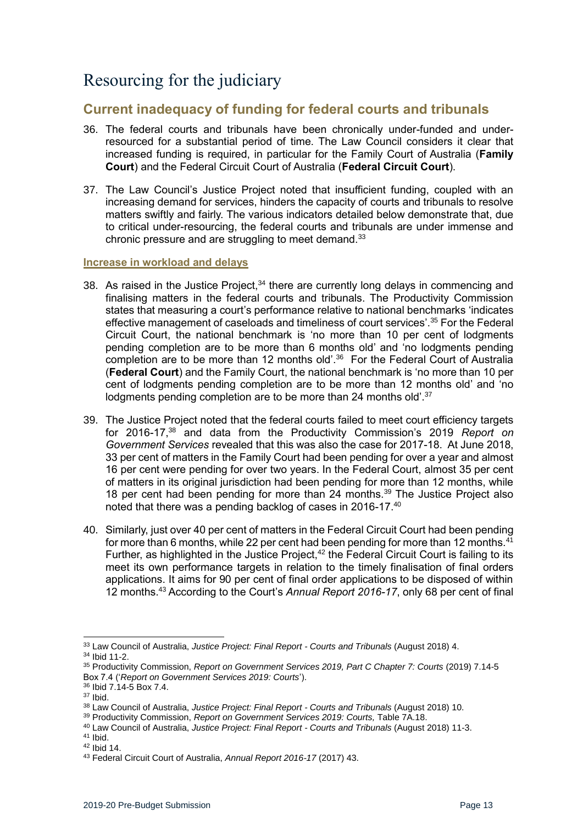# <span id="page-12-0"></span>Resourcing for the judiciary

## <span id="page-12-1"></span>**Current inadequacy of funding for federal courts and tribunals**

- 36. The federal courts and tribunals have been chronically under-funded and underresourced for a substantial period of time. The Law Council considers it clear that increased funding is required, in particular for the Family Court of Australia (**Family Court**) and the Federal Circuit Court of Australia (**Federal Circuit Court**).
- 37. The Law Council's Justice Project noted that insufficient funding, coupled with an increasing demand for services, hinders the capacity of courts and tribunals to resolve matters swiftly and fairly. The various indicators detailed below demonstrate that, due to critical under-resourcing, the federal courts and tribunals are under immense and chronic pressure and are struggling to meet demand.<sup>33</sup>

#### <span id="page-12-2"></span>**Increase in workload and delays**

- 38. As raised in the Justice Project. $34$  there are currently long delays in commencing and finalising matters in the federal courts and tribunals. The Productivity Commission states that measuring a court's performance relative to national benchmarks 'indicates effective management of caseloads and timeliness of court services'.<sup>35</sup> For the Federal Circuit Court, the national benchmark is 'no more than 10 per cent of lodgments pending completion are to be more than 6 months old' and 'no lodgments pending completion are to be more than 12 months old'.<sup>36</sup> For the Federal Court of Australia (**Federal Court**) and the Family Court, the national benchmark is 'no more than 10 per cent of lodgments pending completion are to be more than 12 months old' and 'no lodgments pending completion are to be more than 24 months old'.<sup>37</sup>
- 39. The Justice Project noted that the federal courts failed to meet court efficiency targets for 2016-17,<sup>38</sup> and data from the Productivity Commission's 2019 *Report on Government Services* revealed that this was also the case for 2017-18. At June 2018, 33 per cent of matters in the Family Court had been pending for over a year and almost 16 per cent were pending for over two years. In the Federal Court, almost 35 per cent of matters in its original jurisdiction had been pending for more than 12 months, while 18 per cent had been pending for more than 24 months.<sup>39</sup> The Justice Project also noted that there was a pending backlog of cases in 2016-17.<sup>40</sup>
- 40. Similarly, just over 40 per cent of matters in the Federal Circuit Court had been pending for more than 6 months, while 22 per cent had been pending for more than 12 months. $41$ Further, as highlighted in the Justice Project,<sup>42</sup> the Federal Circuit Court is failing to its meet its own performance targets in relation to the timely finalisation of final orders applications. It aims for 90 per cent of final order applications to be disposed of within 12 months.<sup>43</sup> According to the Court's *Annual Report 2016-17*, only 68 per cent of final

 $\overline{a}$ 

<sup>33</sup> Law Council of Australia, *Justice Project: Final Report - Courts and Tribunals* (August 2018) 4. <sup>34</sup> Ibid 11-2.

<sup>35</sup> Productivity Commission, *Report on Government Services 2019, Part C Chapter 7: Courts* (2019) 7.14-5 Box 7.4 ('*Report on Government Services 2019: Courts*').

<sup>36</sup> Ibid 7.14-5 Box 7.4.

 $37$  Ibid.

<sup>38</sup> Law Council of Australia, *Justice Project: Final Report - Courts and Tribunals* (August 2018) 10.

<sup>39</sup> Productivity Commission, *Report on Government Services 2019: Courts,* Table 7A.18.

<sup>40</sup> Law Council of Australia, *Justice Project: Final Report - Courts and Tribunals* (August 2018) 11-3. <sup>41</sup> Ibid.

<sup>42</sup> Ibid 14.

<sup>43</sup> Federal Circuit Court of Australia, *Annual Report 2016-17* (2017) 43.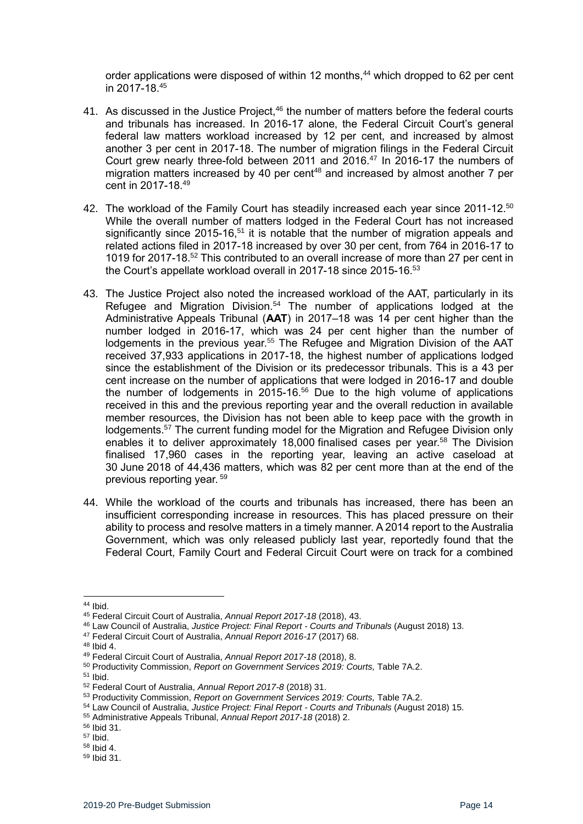order applications were disposed of within 12 months,<sup>44</sup> which dropped to 62 per cent in 2017-18.<sup>45</sup>

- 41. As discussed in the Justice Project,<sup>46</sup> the number of matters before the federal courts and tribunals has increased. In 2016-17 alone, the Federal Circuit Court's general federal law matters workload increased by 12 per cent, and increased by almost another 3 per cent in 2017-18. The number of migration filings in the Federal Circuit Court grew nearly three-fold between 2011 and 2016.<sup>47</sup> In 2016-17 the numbers of migration matters increased by 40 per cent<sup>48</sup> and increased by almost another 7 per cent in 2017-18.<sup>49</sup>
- 42. The workload of the Family Court has steadily increased each year since 2011-12. $50$ While the overall number of matters lodged in the Federal Court has not increased significantly since 2015-16,<sup>51</sup> it is notable that the number of migration appeals and related actions filed in 2017-18 increased by over 30 per cent, from 764 in 2016-17 to 1019 for 2017-18.<sup>52</sup> This contributed to an overall increase of more than 27 per cent in the Court's appellate workload overall in 2017-18 since 2015-16.<sup>53</sup>
- 43. The Justice Project also noted the increased workload of the AAT, particularly in its Refugee and Migration Division.<sup>54</sup> The number of applications lodged at the Administrative Appeals Tribunal (**AAT**) in 2017–18 was 14 per cent higher than the number lodged in 2016-17, which was 24 per cent higher than the number of lodgements in the previous year.<sup>55</sup> The Refugee and Migration Division of the AAT received 37,933 applications in 2017-18, the highest number of applications lodged since the establishment of the Division or its predecessor tribunals. This is a 43 per cent increase on the number of applications that were lodged in 2016-17 and double the number of lodgements in 2015-16.<sup>56</sup> Due to the high volume of applications received in this and the previous reporting year and the overall reduction in available member resources, the Division has not been able to keep pace with the growth in lodgements.<sup>57</sup> The current funding model for the Migration and Refugee Division only enables it to deliver approximately 18,000 finalised cases per year.<sup>58</sup> The Division finalised 17,960 cases in the reporting year, leaving an active caseload at 30 June 2018 of 44,436 matters, which was 82 per cent more than at the end of the previous reporting year. <sup>59</sup>
- 44. While the workload of the courts and tribunals has increased, there has been an insufficient corresponding increase in resources. This has placed pressure on their ability to process and resolve matters in a timely manner. A 2014 report to the Australia Government, which was only released publicly last year, reportedly found that the Federal Court, Family Court and Federal Circuit Court were on track for a combined

<sup>1</sup> <sup>44</sup> Ibid.

<sup>45</sup> Federal Circuit Court of Australia, *Annual Report 2017-18* (2018), 43.

<sup>46</sup> Law Council of Australia, *Justice Project: Final Report - Courts and Tribunals* (August 2018) 13.

<sup>47</sup> Federal Circuit Court of Australia, *Annual Report 2016-17* (2017) 68.

<sup>48</sup> Ibid 4.

<sup>49</sup> Federal Circuit Court of Australia, *Annual Report 2017-18* (2018), 8.

<sup>50</sup> Productivity Commission, *Report on Government Services 2019: Courts,* Table 7A.2.

<sup>51</sup> Ibid.

<sup>52</sup> Federal Court of Australia, *Annual Report 2017-8* (2018) 31.

<sup>53</sup> Productivity Commission, *Report on Government Services 2019: Courts,* Table 7A.2.

<sup>54</sup> Law Council of Australia, *Justice Project: Final Report - Courts and Tribunals* (August 2018) 15.

<sup>55</sup> Administrative Appeals Tribunal, *Annual Report 2017-18* (2018) 2.

<sup>56</sup> Ibid 31.

<sup>57</sup> Ibid.

<sup>58</sup> Ibid 4.

<sup>59</sup> Ibid 31.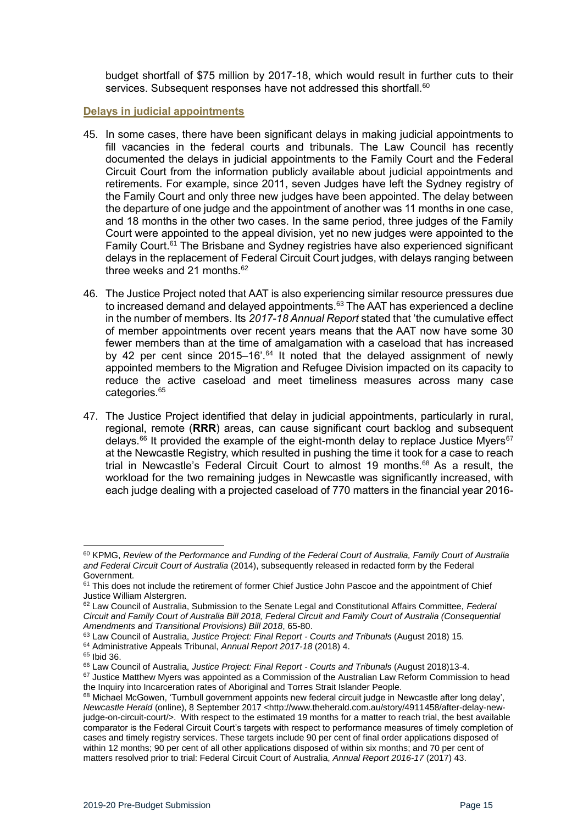budget shortfall of \$75 million by 2017-18, which would result in further cuts to their services. Subsequent responses have not addressed this shortfall.<sup>60</sup>

#### <span id="page-14-0"></span>**Delays in judicial appointments**

- 45. In some cases, there have been significant delays in making judicial appointments to fill vacancies in the federal courts and tribunals. The Law Council has recently documented the delays in judicial appointments to the Family Court and the Federal Circuit Court from the information publicly available about judicial appointments and retirements. For example, since 2011, seven Judges have left the Sydney registry of the Family Court and only three new judges have been appointed. The delay between the departure of one judge and the appointment of another was 11 months in one case, and 18 months in the other two cases. In the same period, three judges of the Family Court were appointed to the appeal division, yet no new judges were appointed to the Family Court.<sup>61</sup> The Brisbane and Sydney registries have also experienced significant delays in the replacement of Federal Circuit Court judges, with delays ranging between three weeks and 21 months. $62$
- 46. The Justice Project noted that AAT is also experiencing similar resource pressures due to increased demand and delayed appointments.<sup>63</sup> The AAT has experienced a decline in the number of members. Its *2017-18 Annual Report* stated that 'the cumulative effect of member appointments over recent years means that the AAT now have some 30 fewer members than at the time of amalgamation with a caseload that has increased by 42 per cent since 2015–16'.<sup>64</sup> It noted that the delayed assignment of newly appointed members to the Migration and Refugee Division impacted on its capacity to reduce the active caseload and meet timeliness measures across many case categories.<sup>65</sup>
- 47. The Justice Project identified that delay in judicial appointments, particularly in rural, regional, remote (**RRR**) areas, can cause significant court backlog and subsequent delays.<sup>66</sup> It provided the example of the eight-month delay to replace Justice Myers<sup>67</sup> at the Newcastle Registry, which resulted in pushing the time it took for a case to reach trial in Newcastle's Federal Circuit Court to almost 19 months.<sup>68</sup> As a result, the workload for the two remaining judges in Newcastle was significantly increased, with each judge dealing with a projected caseload of 770 matters in the financial year 2016-

<sup>60</sup> KPMG, *Review of the Performance and Funding of the Federal Court of Australia, Family Court of Australia and Federal Circuit Court of Australia* (2014), subsequently released in redacted form by the Federal Government.

<sup>&</sup>lt;sup>61</sup> This does not include the retirement of former Chief Justice John Pascoe and the appointment of Chief Justice William Alstergren.

<sup>62</sup> Law Council of Australia, Submission to the Senate Legal and Constitutional Affairs Committee, *Federal Circuit and Family Court of Australia Bill 2018, Federal Circuit and Family Court of Australia (Consequential Amendments and Transitional Provisions) Bill 2018*, 65-80.

<sup>63</sup> Law Council of Australia, *Justice Project: Final Report - Courts and Tribunals* (August 2018) 15.

<sup>64</sup> Administrative Appeals Tribunal, *Annual Report 2017-18* (2018) 4.

<sup>65</sup> Ibid 36.

<sup>66</sup> Law Council of Australia, *Justice Project: Final Report - Courts and Tribunals* (August 2018)13-4.

<sup>&</sup>lt;sup>67</sup> Justice Matthew Myers was appointed as a Commission of the Australian Law Reform Commission to head the Inquiry into Incarceration rates of Aboriginal and Torres Strait Islander People.

<sup>68</sup> Michael McGowen, 'Turnbull government appoints new federal circuit judge in Newcastle after long delay', *Newcastle Herald (online), 8 September 2017 <http://www.theherald.com.au/story/4911458/after-delay-new*judge-on-circuit-court/>. With respect to the estimated 19 months for a matter to reach trial, the best available comparator is the Federal Circuit Court's targets with respect to performance measures of timely completion of cases and timely registry services. These targets include 90 per cent of final order applications disposed of within 12 months; 90 per cent of all other applications disposed of within six months; and 70 per cent of matters resolved prior to trial: Federal Circuit Court of Australia, *Annual Report 2016-17* (2017) 43.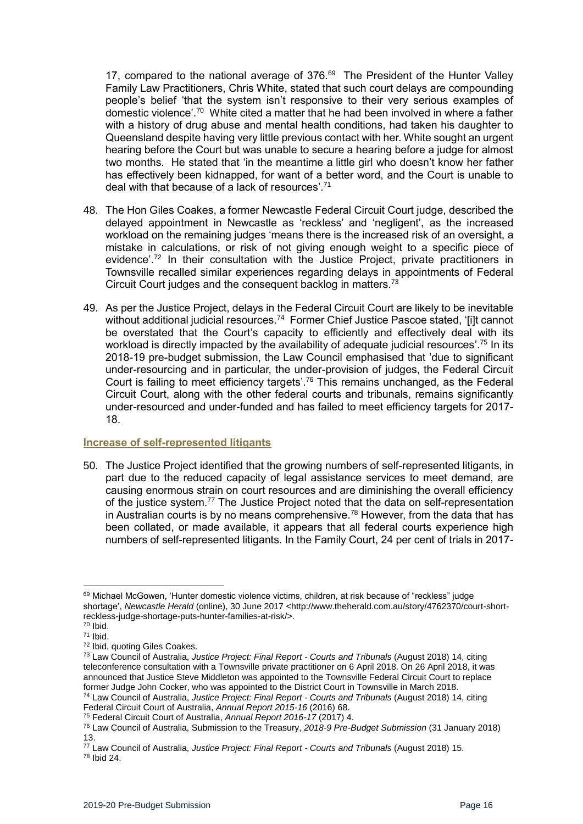17, compared to the national average of  $376.69$  The President of the Hunter Valley Family Law Practitioners, Chris White, stated that such court delays are compounding people's belief 'that the system isn't responsive to their very serious examples of domestic violence'.<sup>70</sup> White cited a matter that he had been involved in where a father with a history of drug abuse and mental health conditions, had taken his daughter to Queensland despite having very little previous contact with her. White sought an urgent hearing before the Court but was unable to secure a hearing before a judge for almost two months. He stated that 'in the meantime a little girl who doesn't know her father has effectively been kidnapped, for want of a better word, and the Court is unable to deal with that because of a lack of resources'.<sup>71</sup>

- 48. The Hon Giles Coakes, a former Newcastle Federal Circuit Court judge, described the delayed appointment in Newcastle as 'reckless' and 'negligent', as the increased workload on the remaining judges 'means there is the increased risk of an oversight, a mistake in calculations, or risk of not giving enough weight to a specific piece of evidence'.<sup>72</sup> In their consultation with the Justice Project, private practitioners in Townsville recalled similar experiences regarding delays in appointments of Federal Circuit Court judges and the consequent backlog in matters.<sup>73</sup>
- 49. As per the Justice Project, delays in the Federal Circuit Court are likely to be inevitable without additional judicial resources.<sup>74</sup> Former Chief Justice Pascoe stated, '[i]t cannot be overstated that the Court's capacity to efficiently and effectively deal with its workload is directly impacted by the availability of adequate judicial resources'.<sup>75</sup> In its 2018-19 pre-budget submission, the Law Council emphasised that 'due to significant under-resourcing and in particular, the under-provision of judges, the Federal Circuit Court is failing to meet efficiency targets'.<sup>76</sup> This remains unchanged, as the Federal Circuit Court, along with the other federal courts and tribunals, remains significantly under-resourced and under-funded and has failed to meet efficiency targets for 2017- 18.

#### <span id="page-15-0"></span>**Increase of self-represented litigants**

50. The Justice Project identified that the growing numbers of self-represented litigants, in part due to the reduced capacity of legal assistance services to meet demand, are causing enormous strain on court resources and are diminishing the overall efficiency of the justice system.<sup>77</sup> The Justice Project noted that the data on self-representation in Australian courts is by no means comprehensive.<sup>78</sup> However, from the data that has been collated, or made available, it appears that all federal courts experience high numbers of self-represented litigants. In the Family Court, 24 per cent of trials in 2017-

<sup>69</sup> Michael McGowen, 'Hunter domestic violence victims, children, at risk because of "reckless" judge shortage', *Newcastle Herald* (online), 30 June 2017 <http://www.theherald.com.au/story/4762370/court-shortreckless-judge-shortage-puts-hunter-families-at-risk/>.

 $70$  Ibid. <sup>71</sup> Ibid.

<sup>72</sup> Ibid, quoting Giles Coakes.

<sup>73</sup> Law Council of Australia, *Justice Project: Final Report - Courts and Tribunals* (August 2018) 14, citing teleconference consultation with a Townsville private practitioner on 6 April 2018. On 26 April 2018, it was announced that Justice Steve Middleton was appointed to the Townsville Federal Circuit Court to replace former Judge John Cocker, who was appointed to the District Court in Townsville in March 2018.

<sup>74</sup> Law Council of Australia, *Justice Project: Final Report - Courts and Tribunals* (August 2018) 14, citing Federal Circuit Court of Australia, *Annual Report 2015-16* (2016) 68.

<sup>75</sup> Federal Circuit Court of Australia, *Annual Report 2016-17* (2017) 4. <sup>76</sup> Law Council of Australia, Submission to the Treasury, *2018-9 Pre-Budget Submission* (31 January 2018) 13.

<sup>77</sup> Law Council of Australia, *Justice Project: Final Report - Courts and Tribunals* (August 2018) 15. <sup>78</sup> Ibid 24.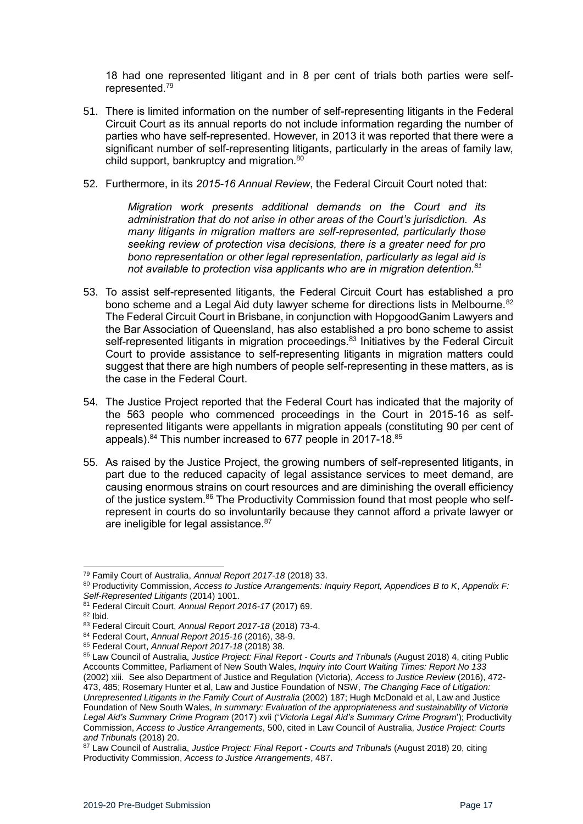18 had one represented litigant and in 8 per cent of trials both parties were selfrepresented.<sup>79</sup>

- 51. There is limited information on the number of self-representing litigants in the Federal Circuit Court as its annual reports do not include information regarding the number of parties who have self-represented. However, in 2013 it was reported that there were a significant number of self-representing litigants, particularly in the areas of family law, child support, bankruptcy and migration.<sup>80</sup>
- 52. Furthermore, in its *2015-16 Annual Review*, the Federal Circuit Court noted that:

*Migration work presents additional demands on the Court and its administration that do not arise in other areas of the Court's jurisdiction. As many litigants in migration matters are self-represented, particularly those seeking review of protection visa decisions, there is a greater need for pro bono representation or other legal representation, particularly as legal aid is not available to protection visa applicants who are in migration detention.<sup>81</sup>*

- 53. To assist self-represented litigants, the Federal Circuit Court has established a pro bono scheme and a Legal Aid duty lawyer scheme for directions lists in Melbourne.<sup>82</sup> The Federal Circuit Court in Brisbane, in conjunction with HopgoodGanim Lawyers and the Bar Association of Queensland, has also established a pro bono scheme to assist self-represented litigants in migration proceedings.<sup>83</sup> Initiatives by the Federal Circuit Court to provide assistance to self-representing litigants in migration matters could suggest that there are high numbers of people self-representing in these matters, as is the case in the Federal Court.
- 54. The Justice Project reported that the Federal Court has indicated that the majority of the 563 people who commenced proceedings in the Court in 2015-16 as selfrepresented litigants were appellants in migration appeals (constituting 90 per cent of appeals).<sup>84</sup> This number increased to 677 people in 2017-18.<sup>85</sup>
- 55. As raised by the Justice Project, the growing numbers of self-represented litigants, in part due to the reduced capacity of legal assistance services to meet demand, are causing enormous strains on court resources and are diminishing the overall efficiency of the justice system.<sup>86</sup> The Productivity Commission found that most people who selfrepresent in courts do so involuntarily because they cannot afford a private lawyer or are ineligible for legal assistance.<sup>87</sup>

<sup>79</sup> Family Court of Australia, *Annual Report 2017-18* (2018) 33.

<sup>80</sup> Productivity Commission, *Access to Justice Arrangements: Inquiry Report, Appendices B to K*, *Appendix F: Self-Represented Litigants* (2014) 1001.

<sup>81</sup> Federal Circuit Court, *Annual Report 2016-17* (2017) 69.

<sup>82</sup> Ibid.

<sup>83</sup> Federal Circuit Court, *Annual Report 2017-18* (2018) 73-4.

<sup>84</sup> Federal Court, *Annual Report 2015-16* (2016), 38-9.

<sup>85</sup> Federal Court, *Annual Report 2017-18* (2018) 38.

<sup>86</sup> Law Council of Australia, *Justice Project: Final Report - Courts and Tribunals* (August 2018) 4, citing Public Accounts Committee, Parliament of New South Wales, *Inquiry into Court Waiting Times: Report No 133* (2002) xiii. See also Department of Justice and Regulation (Victoria), *Access to Justice Review* (2016), 472- 473, 485; Rosemary Hunter et al, Law and Justice Foundation of NSW, *The Changing Face of Litigation: Unrepresented Litigants in the Family Court of Australia* (2002) 187; Hugh McDonald et al, Law and Justice Foundation of New South Wales, *In summary: Evaluation of the appropriateness and sustainability of Victoria Legal Aid's Summary Crime Program* (2017) xvii ('*Victoria Legal Aid's Summary Crime Program*'); Productivity Commission, *Access to Justice Arrangements*, 500, cited in Law Council of Australia, *Justice Project: Courts and Tribunals* (2018) 20.

<sup>87</sup> Law Council of Australia, *Justice Project: Final Report - Courts and Tribunals* (August 2018) 20, citing Productivity Commission, *Access to Justice Arrangements*, 487.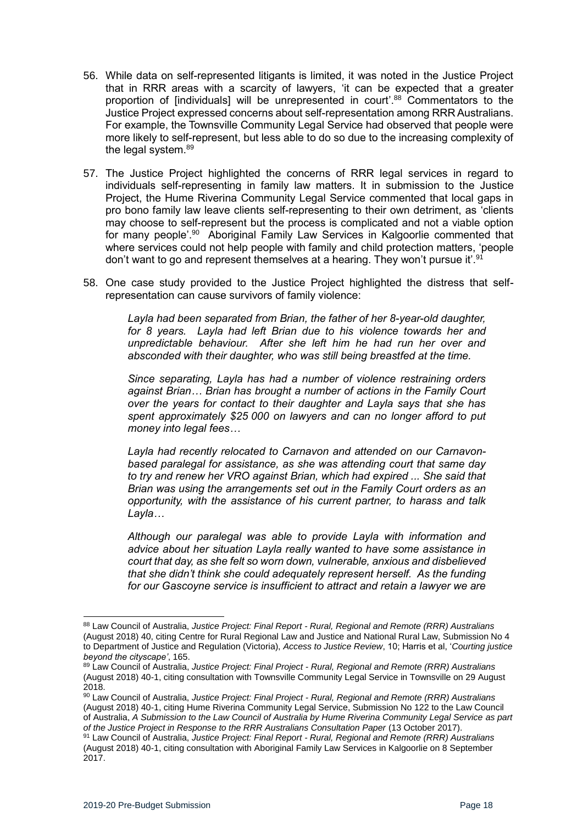- 56. While data on self-represented litigants is limited, it was noted in the Justice Project that in RRR areas with a scarcity of lawyers, 'it can be expected that a greater proportion of [individuals] will be unrepresented in court'.<sup>88</sup> Commentators to the Justice Project expressed concerns about self-representation among RRR Australians. For example, the Townsville Community Legal Service had observed that people were more likely to self-represent, but less able to do so due to the increasing complexity of the legal system.<sup>89</sup>
- 57. The Justice Project highlighted the concerns of RRR legal services in regard to individuals self-representing in family law matters. It in submission to the Justice Project, the Hume Riverina Community Legal Service commented that local gaps in pro bono family law leave clients self-representing to their own detriment, as 'clients may choose to self-represent but the process is complicated and not a viable option for many people'.<sup>90</sup> Aboriginal Family Law Services in Kalgoorlie commented that where services could not help people with family and child protection matters, 'people don't want to go and represent themselves at a hearing. They won't pursue it'.<sup>91</sup>
- 58. One case study provided to the Justice Project highlighted the distress that selfrepresentation can cause survivors of family violence:

*Layla had been separated from Brian, the father of her 8-year-old daughter, for 8 years. Layla had left Brian due to his violence towards her and unpredictable behaviour. After she left him he had run her over and absconded with their daughter, who was still being breastfed at the time.* 

*Since separating, Layla has had a number of violence restraining orders against Brian… Brian has brought a number of actions in the Family Court over the years for contact to their daughter and Layla says that she has spent approximately \$25 000 on lawyers and can no longer afford to put money into legal fees…* 

*Layla had recently relocated to Carnavon and attended on our Carnavonbased paralegal for assistance, as she was attending court that same day to try and renew her VRO against Brian, which had expired ... She said that Brian was using the arrangements set out in the Family Court orders as an opportunity, with the assistance of his current partner, to harass and talk Layla…*

*Although our paralegal was able to provide Layla with information and advice about her situation Layla really wanted to have some assistance in court that day, as she felt so worn down, vulnerable, anxious and disbelieved that she didn't think she could adequately represent herself. As the funding for our Gascoyne service is insufficient to attract and retain a lawyer we are* 

<sup>88</sup> Law Council of Australia, *Justice Project: Final Report - Rural, Regional and Remote (RRR) Australians*  (August 2018) 40, citing Centre for Rural Regional Law and Justice and National Rural Law, Submission No 4 to Department of Justice and Regulation (Victoria), *Access to Justice Review*, 10; Harris et al, '*Courting justice beyond the cityscape'*, 165.

<sup>89</sup> Law Council of Australia, *Justice Project: Final Project - Rural, Regional and Remote (RRR) Australians*  (August 2018) 40-1, citing consultation with Townsville Community Legal Service in Townsville on 29 August 2018.

<sup>90</sup> Law Council of Australia, *Justice Project: Final Project - Rural, Regional and Remote (RRR) Australians*  (August 2018) 40-1, citing Hume Riverina Community Legal Service, Submission No 122 to the Law Council of Australia, *A Submission to the Law Council of Australia by Hume Riverina Community Legal Service as part of the Justice Project in Response to the RRR Australians Consultation Paper* (13 October 2017).

<sup>91</sup> Law Council of Australia, *Justice Project: Final Report - Rural, Regional and Remote (RRR) Australians*  (August 2018) 40-1, citing consultation with Aboriginal Family Law Services in Kalgoorlie on 8 September 2017.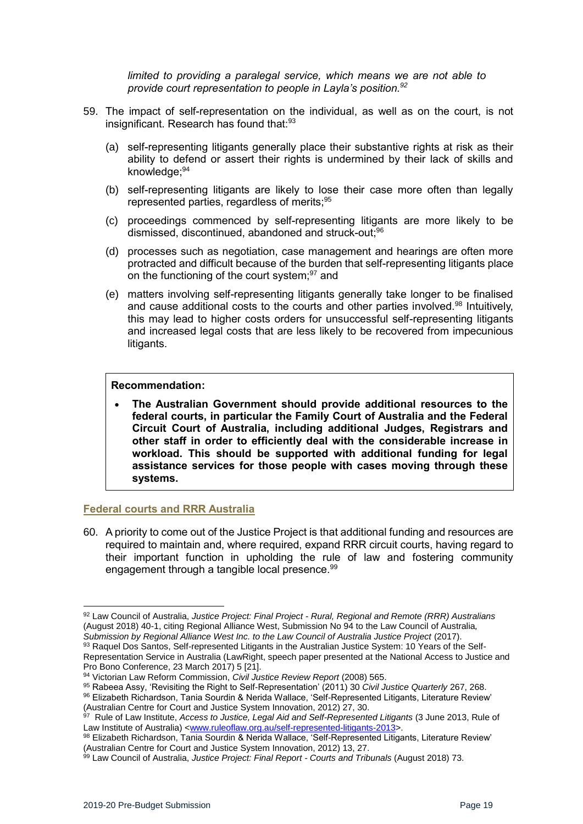*limited to providing a paralegal service, which means we are not able to provide court representation to people in Layla's position.<sup>92</sup>* 

- 59. The impact of self-representation on the individual, as well as on the court, is not insignificant. Research has found that:<sup>93</sup>
	- (a) self-representing litigants generally place their substantive rights at risk as their ability to defend or assert their rights is undermined by their lack of skills and knowledge;<sup>94</sup>
	- (b) self-representing litigants are likely to lose their case more often than legally represented parties, regardless of merits;<sup>95</sup>
	- (c) proceedings commenced by self-representing litigants are more likely to be dismissed, discontinued, abandoned and struck-out:<sup>96</sup>
	- (d) processes such as negotiation, case management and hearings are often more protracted and difficult because of the burden that self-representing litigants place on the functioning of the court system; $97$  and
	- (e) matters involving self-representing litigants generally take longer to be finalised and cause additional costs to the courts and other parties involved.<sup>98</sup> Intuitively, this may lead to higher costs orders for unsuccessful self-representing litigants and increased legal costs that are less likely to be recovered from impecunious litigants.

#### **Recommendation:**

• **The Australian Government should provide additional resources to the federal courts, in particular the Family Court of Australia and the Federal Circuit Court of Australia, including additional Judges, Registrars and other staff in order to efficiently deal with the considerable increase in workload. This should be supported with additional funding for legal assistance services for those people with cases moving through these systems.**

#### <span id="page-18-0"></span>**Federal courts and RRR Australia**

60. A priority to come out of the Justice Project is that additional funding and resources are required to maintain and, where required, expand RRR circuit courts, having regard to their important function in upholding the rule of law and fostering community engagement through a tangible local presence.<sup>99</sup>

<sup>92</sup> Law Council of Australia, *Justice Project: Final Project - Rural, Regional and Remote (RRR) Australians*  (August 2018) 40-1, citing Regional Alliance West, Submission No 94 to the Law Council of Australia*, Submission by Regional Alliance West Inc. to the Law Council of Australia Justice Project* (2017).

<sup>93</sup> Raquel Dos Santos, Self-represented Litigants in the Australian Justice System: 10 Years of the Self-Representation Service in Australia (LawRight, speech paper presented at the National Access to Justice and Pro Bono Conference, 23 March 2017) 5 [21].

<sup>94</sup> Victorian Law Reform Commission, *Civil Justice Review Report* (2008) 565.

<sup>95</sup> Rabeea Assy, 'Revisiting the Right to Self-Representation' (2011) 30 *Civil Justice Quarterly* 267, 268.

<sup>96</sup> Elizabeth Richardson, Tania Sourdin & Nerida Wallace, 'Self-Represented Litigants, Literature Review' (Australian Centre for Court and Justice System Innovation, 2012) 27, 30.

<sup>97</sup> Rule of Law Institute, *Access to Justice, Legal Aid and Self-Represented Litigants* (3 June 2013, Rule of Law Institute of Australia) [<www.ruleoflaw.org.au/self-represented-litigants-2013>](http://www.ruleoflaw.org.au/self-represented-litigants-2013).

<sup>98</sup> Elizabeth Richardson, Tania Sourdin & Nerida Wallace, 'Self-Represented Litigants, Literature Review' (Australian Centre for Court and Justice System Innovation, 2012) 13, 27.

<sup>99</sup> Law Council of Australia, *Justice Project: Final Report - Courts and Tribunals* (August 2018) 73.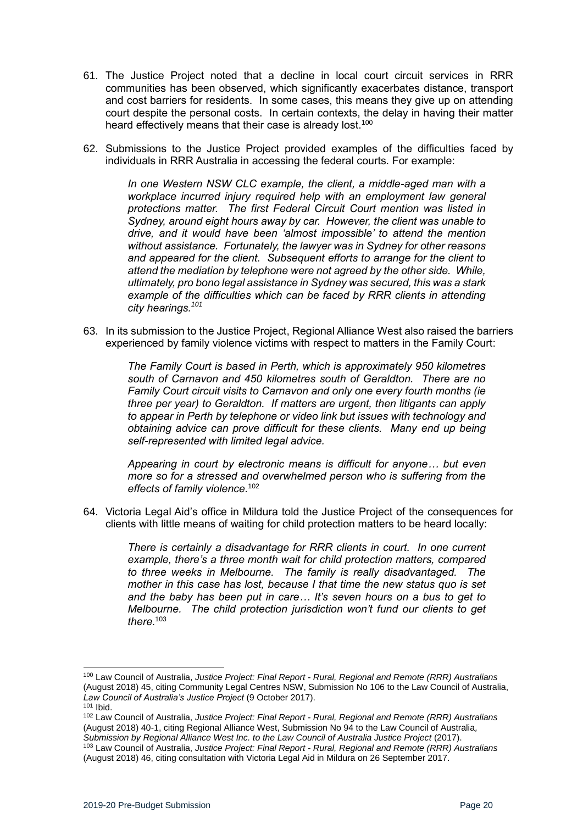- 61. The Justice Project noted that a decline in local court circuit services in RRR communities has been observed, which significantly exacerbates distance, transport and cost barriers for residents. In some cases, this means they give up on attending court despite the personal costs. In certain contexts, the delay in having their matter heard effectively means that their case is already lost.<sup>100</sup>
- 62. Submissions to the Justice Project provided examples of the difficulties faced by individuals in RRR Australia in accessing the federal courts. For example:

*In one Western NSW CLC example, the client, a middle-aged man with a workplace incurred injury required help with an employment law general protections matter. The first Federal Circuit Court mention was listed in Sydney, around eight hours away by car. However, the client was unable to drive, and it would have been 'almost impossible' to attend the mention without assistance. Fortunately, the lawyer was in Sydney for other reasons and appeared for the client. Subsequent efforts to arrange for the client to attend the mediation by telephone were not agreed by the other side. While, ultimately, pro bono legal assistance in Sydney was secured, this was a stark example of the difficulties which can be faced by RRR clients in attending city hearings.<sup>101</sup>* 

63. In its submission to the Justice Project, Regional Alliance West also raised the barriers experienced by family violence victims with respect to matters in the Family Court:

> *The Family Court is based in Perth, which is approximately 950 kilometres south of Carnavon and 450 kilometres south of Geraldton. There are no Family Court circuit visits to Carnavon and only one every fourth months (ie three per year) to Geraldton. If matters are urgent, then litigants can apply to appear in Perth by telephone or video link but issues with technology and obtaining advice can prove difficult for these clients. Many end up being self-represented with limited legal advice.*

> *Appearing in court by electronic means is difficult for anyone… but even more so for a stressed and overwhelmed person who is suffering from the effects of family violence.*<sup>102</sup>

64. Victoria Legal Aid's office in Mildura told the Justice Project of the consequences for clients with little means of waiting for child protection matters to be heard locally:

> *There is certainly a disadvantage for RRR clients in court. In one current example, there's a three month wait for child protection matters, compared to three weeks in Melbourne. The family is really disadvantaged. The mother in this case has lost, because I that time the new status quo is set and the baby has been put in care… It's seven hours on a bus to get to Melbourne. The child protection jurisdiction won't fund our clients to get there.*<sup>103</sup>

<sup>100</sup> Law Council of Australia, *Justice Project: Final Report - Rural, Regional and Remote (RRR) Australians*  (August 2018) 45, citing Community Legal Centres NSW, Submission No 106 to the Law Council of Australia, *Law Council of Australia's Justice Project* (9 October 2017). <sup>101</sup> Ibid.

<sup>102</sup> Law Council of Australia, *Justice Project: Final Report - Rural, Regional and Remote (RRR) Australians*  (August 2018) 40-1, citing Regional Alliance West, Submission No 94 to the Law Council of Australia*,*  Submission by Regional Alliance West Inc. to the Law Council of Australia Justice Project (2017).

<sup>103</sup> Law Council of Australia, *Justice Project: Final Report - Rural, Regional and Remote (RRR) Australians*  (August 2018) 46, citing consultation with Victoria Legal Aid in Mildura on 26 September 2017.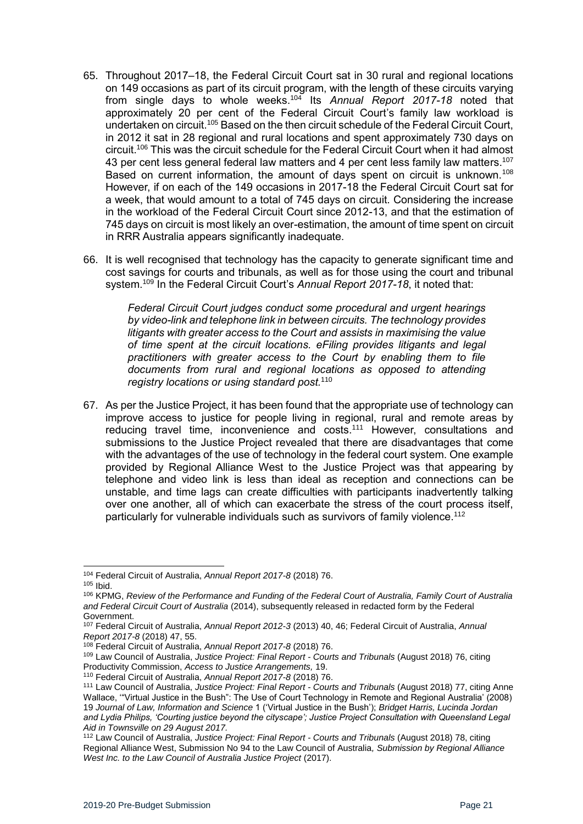- 65. Throughout 2017–18, the Federal Circuit Court sat in 30 rural and regional locations on 149 occasions as part of its circuit program, with the length of these circuits varying from single days to whole weeks.<sup>104</sup> Its *Annual Report 2017-18* noted that approximately 20 per cent of the Federal Circuit Court's family law workload is undertaken on circuit.<sup>105</sup> Based on the then circuit schedule of the Federal Circuit Court, in 2012 it sat in 28 regional and rural locations and spent approximately 730 days on circuit.<sup>106</sup> This was the circuit schedule for the Federal Circuit Court when it had almost 43 per cent less general federal law matters and 4 per cent less family law matters.<sup>107</sup> Based on current information, the amount of days spent on circuit is unknown.<sup>108</sup> However, if on each of the 149 occasions in 2017-18 the Federal Circuit Court sat for a week, that would amount to a total of 745 days on circuit. Considering the increase in the workload of the Federal Circuit Court since 2012-13, and that the estimation of 745 days on circuit is most likely an over-estimation, the amount of time spent on circuit in RRR Australia appears significantly inadequate.
- 66. It is well recognised that technology has the capacity to generate significant time and cost savings for courts and tribunals, as well as for those using the court and tribunal system.<sup>109</sup> In the Federal Circuit Court's *Annual Report 2017-18*, it noted that:

*Federal Circuit Court judges conduct some procedural and urgent hearings by video-link and telephone link in between circuits. The technology provides litigants with greater access to the Court and assists in maximising the value of time spent at the circuit locations. eFiling provides litigants and legal practitioners with greater access to the Court by enabling them to file documents from rural and regional locations as opposed to attending registry locations or using standard post.*<sup>110</sup>

67. As per the Justice Project, it has been found that the appropriate use of technology can improve access to justice for people living in regional, rural and remote areas by reducing travel time, inconvenience and costs.<sup>111</sup> However, consultations and submissions to the Justice Project revealed that there are disadvantages that come with the advantages of the use of technology in the federal court system. One example provided by Regional Alliance West to the Justice Project was that appearing by telephone and video link is less than ideal as reception and connections can be unstable, and time lags can create difficulties with participants inadvertently talking over one another, all of which can exacerbate the stress of the court process itself, particularly for vulnerable individuals such as survivors of family violence.<sup>112</sup>

<sup>1</sup> <sup>104</sup> Federal Circuit of Australia, *Annual Report 2017-8* (2018) 76. <sup>105</sup> Ibid.

<sup>106</sup> KPMG, *Review of the Performance and Funding of the Federal Court of Australia, Family Court of Australia and Federal Circuit Court of Australia* (2014), subsequently released in redacted form by the Federal Government.

<sup>107</sup> Federal Circuit of Australia, *Annual Report 2012-3* (2013) 40, 46; Federal Circuit of Australia, *Annual Report 2017-8* (2018) 47, 55.

<sup>108</sup> Federal Circuit of Australia, *Annual Report 2017-8* (2018) 76.

<sup>109</sup> Law Council of Australia, *Justice Project: Final Report - Courts and Tribunals* (August 2018) 76, citing Productivity Commission, *Access to Justice Arrangements,* 19.

<sup>110</sup> Federal Circuit of Australia, *Annual Report 2017-8* (2018) 76.

<sup>111</sup> Law Council of Australia, *Justice Project: Final Report - Courts and Tribunals* (August 2018) 77, citing Anne Wallace, '"Virtual Justice in the Bush": The Use of Court Technology in Remote and Regional Australia' (2008) 19 *Journal of Law, Information and Science* 1 ('Virtual Justice in the Bush'); *Bridget Harris, Lucinda Jordan and Lydia Philips, 'Courting justice beyond the cityscape'; Justice Project Consultation with Queensland Legal Aid in Townsville on 29 August 2017.*

<sup>112</sup> Law Council of Australia, *Justice Project: Final Report - Courts and Tribunals* (August 2018) 78, citing Regional Alliance West, Submission No 94 to the Law Council of Australia*, Submission by Regional Alliance West Inc. to the Law Council of Australia Justice Project (2017).*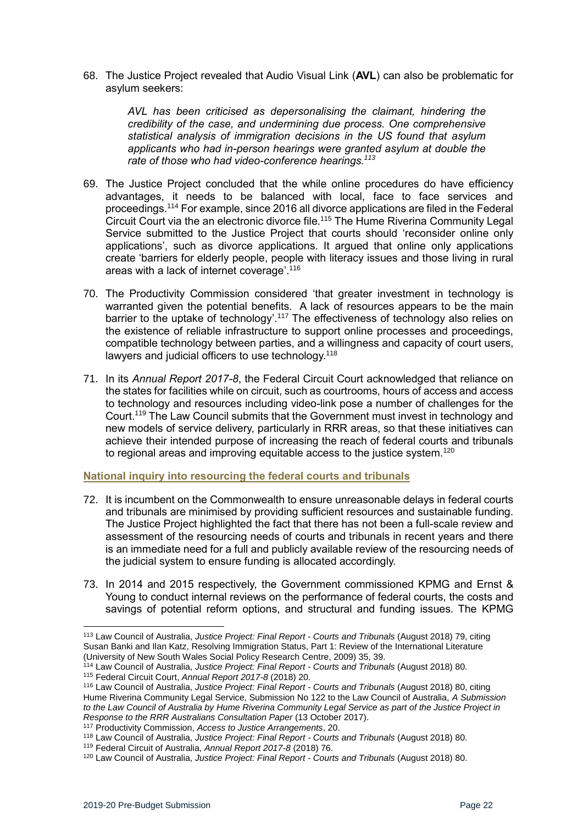68. The Justice Project revealed that Audio Visual Link (**AVL**) can also be problematic for asylum seekers:

> *AVL has been criticised as depersonalising the claimant, hindering the credibility of the case, and undermining due process. One comprehensive statistical analysis of immigration decisions in the US found that asylum applicants who had in-person hearings were granted asylum at double the rate of those who had video-conference hearings.<sup>113</sup>*

- 69. The Justice Project concluded that the while online procedures do have efficiency advantages, it needs to be balanced with local, face to face services and proceedings.<sup>114</sup> For example, since 2016 all divorce applications are filed in the Federal Circuit Court via the an electronic divorce file.<sup>115</sup> The Hume Riverina Community Legal Service submitted to the Justice Project that courts should 'reconsider online only applications', such as divorce applications. It argued that online only applications create 'barriers for elderly people, people with literacy issues and those living in rural areas with a lack of internet coverage'. 116
- 70. The Productivity Commission considered 'that greater investment in technology is warranted given the potential benefits. A lack of resources appears to be the main barrier to the uptake of technology'.<sup>117</sup> The effectiveness of technology also relies on the existence of reliable infrastructure to support online processes and proceedings, compatible technology between parties, and a willingness and capacity of court users, lawyers and judicial officers to use technology.<sup>118</sup>
- 71. In its *Annual Report 2017-8*, the Federal Circuit Court acknowledged that reliance on the states for facilities while on circuit, such as courtrooms, hours of access and access to technology and resources including video-link pose a number of challenges for the Court.<sup>119</sup> The Law Council submits that the Government must invest in technology and new models of service delivery, particularly in RRR areas, so that these initiatives can achieve their intended purpose of increasing the reach of federal courts and tribunals to regional areas and improving equitable access to the justice system.<sup>120</sup>

#### <span id="page-21-0"></span>**National inquiry into resourcing the federal courts and tribunals**

- 72. It is incumbent on the Commonwealth to ensure unreasonable delays in federal courts and tribunals are minimised by providing sufficient resources and sustainable funding. The Justice Project highlighted the fact that there has not been a full-scale review and assessment of the resourcing needs of courts and tribunals in recent years and there is an immediate need for a full and publicly available review of the resourcing needs of the judicial system to ensure funding is allocated accordingly.
- 73. In 2014 and 2015 respectively, the Government commissioned KPMG and Ernst & Young to conduct internal reviews on the performance of federal courts, the costs and savings of potential reform options, and structural and funding issues. The KPMG

<sup>113</sup> Law Council of Australia, *Justice Project: Final Report - Courts and Tribunals* (August 2018) 79, citing Susan Banki and Ilan Katz, Resolving Immigration Status, Part 1: Review of the International Literature (University of New South Wales Social Policy Research Centre, 2009) 35, 39.

<sup>114</sup> Law Council of Australia, *Justice Project: Final Report - Courts and Tribunals* (August 2018) 80.

<sup>115</sup> Federal Circuit Court, *Annual Report 2017-8* (2018) 20.

<sup>116</sup> Law Council of Australia, *Justice Project: Final Report - Courts and Tribunals* (August 2018) 80, citing Hume Riverina Community Legal Service, Submission No 122 to the Law Council of Australia, *A Submission to the Law Council of Australia by Hume Riverina Community Legal Service as part of the Justice Project in Response to the RRR Australians Consultation Paper* (13 October 2017).

<sup>117</sup> Productivity Commission, *Access to Justice Arrangements*, 20.

<sup>118</sup> Law Council of Australia, *Justice Project: Final Report - Courts and Tribunals* (August 2018) 80.

<sup>119</sup> Federal Circuit of Australia, *Annual Report 2017-8* (2018) 76.

<sup>120</sup> Law Council of Australia, *Justice Project: Final Report - Courts and Tribunals* (August 2018) 80.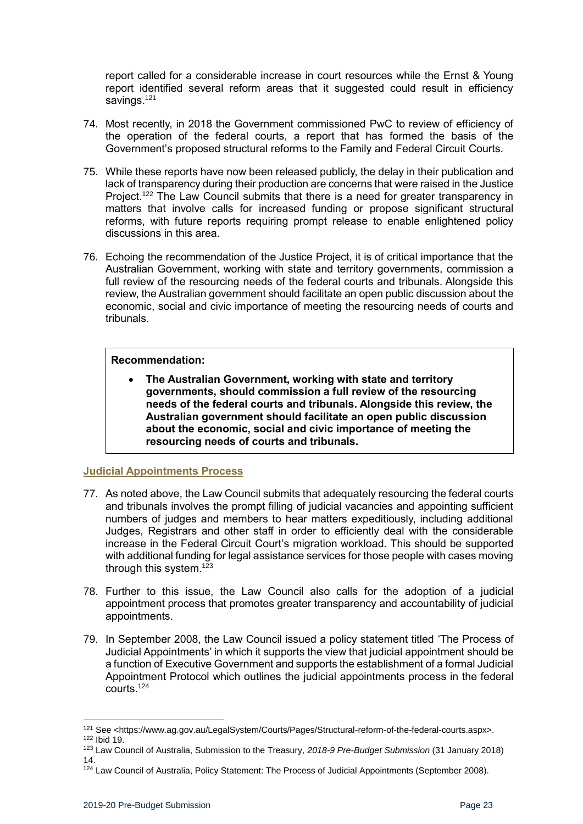report called for a considerable increase in court resources while the Ernst & Young report identified several reform areas that it suggested could result in efficiency savings.<sup>121</sup>

- 74. Most recently, in 2018 the Government commissioned PwC to review of efficiency of the operation of the federal courts, a report that has formed the basis of the Government's proposed structural reforms to the Family and Federal Circuit Courts.
- 75. While these reports have now been released publicly, the delay in their publication and lack of transparency during their production are concerns that were raised in the Justice Project.<sup>122</sup> The Law Council submits that there is a need for greater transparency in matters that involve calls for increased funding or propose significant structural reforms, with future reports requiring prompt release to enable enlightened policy discussions in this area.
- 76. Echoing the recommendation of the Justice Project, it is of critical importance that the Australian Government, working with state and territory governments, commission a full review of the resourcing needs of the federal courts and tribunals. Alongside this review, the Australian government should facilitate an open public discussion about the economic, social and civic importance of meeting the resourcing needs of courts and tribunals.

#### **Recommendation:**

• **The Australian Government, working with state and territory governments, should commission a full review of the resourcing needs of the federal courts and tribunals. Alongside this review, the Australian government should facilitate an open public discussion about the economic, social and civic importance of meeting the resourcing needs of courts and tribunals.**

#### <span id="page-22-0"></span>**Judicial Appointments Process**

- 77. As noted above, the Law Council submits that adequately resourcing the federal courts and tribunals involves the prompt filling of judicial vacancies and appointing sufficient numbers of judges and members to hear matters expeditiously, including additional Judges, Registrars and other staff in order to efficiently deal with the considerable increase in the Federal Circuit Court's migration workload. This should be supported with additional funding for legal assistance services for those people with cases moving through this system.<sup>123</sup>
- 78. Further to this issue, the Law Council also calls for the adoption of a judicial appointment process that promotes greater transparency and accountability of judicial appointments.
- 79. In September 2008, the Law Council issued a policy statement titled 'The Process of Judicial Appointments' in which it supports the view that judicial appointment should be a function of Executive Government and supports the establishment of a formal Judicial Appointment Protocol which outlines the judicial appointments process in the federal courts.<sup>124</sup>

 $\overline{a}$ 

<sup>121</sup> See <https://www.ag.gov.au/LegalSystem/Courts/Pages/Structural-reform-of-the-federal-courts.aspx>. <sup>122</sup> Ibid 19.

<sup>123</sup> Law Council of Australia, Submission to the Treasury, *2018-9 Pre-Budget Submission* (31 January 2018) 14.

<sup>&</sup>lt;sup>124</sup> Law Council of Australia, Policy Statement: The Process of Judicial Appointments (September 2008).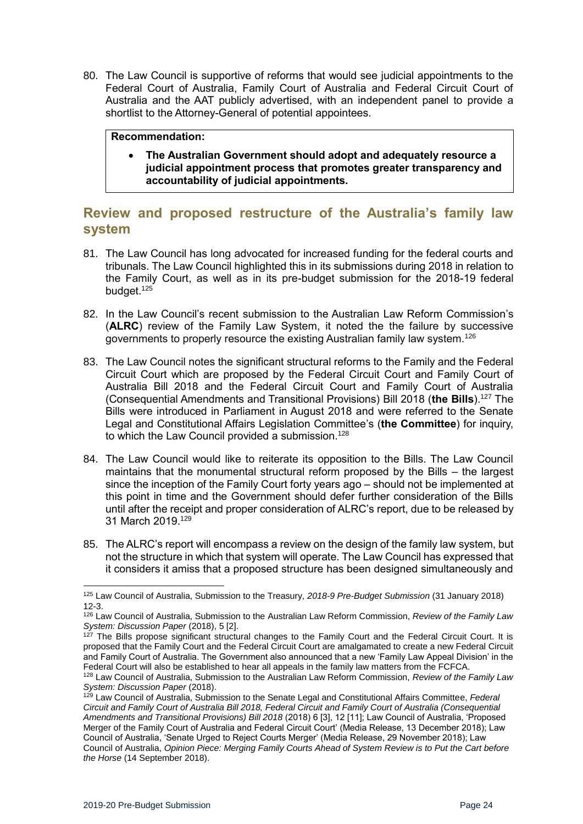80. The Law Council is supportive of reforms that would see judicial appointments to the Federal Court of Australia, Family Court of Australia and Federal Circuit Court of Australia and the AAT publicly advertised, with an independent panel to provide a shortlist to the Attorney-General of potential appointees.

#### **Recommendation:**

• **The Australian Government should adopt and adequately resource a judicial appointment process that promotes greater transparency and accountability of judicial appointments.**

## <span id="page-23-0"></span>**Review and proposed restructure of the Australia's family law system**

- 81. The Law Council has long advocated for increased funding for the federal courts and tribunals. The Law Council highlighted this in its submissions during 2018 in relation to the Family Court, as well as in its pre-budget submission for the 2018-19 federal budget.<sup>125</sup>
- 82. In the Law Council's recent submission to the Australian Law Reform Commission's (**ALRC**) review of the Family Law System, it noted the the failure by successive governments to properly resource the existing Australian family law system.<sup>126</sup>
- 83. The Law Council notes the significant structural reforms to the Family and the Federal Circuit Court which are proposed by the Federal Circuit Court and Family Court of Australia Bill 2018 and the Federal Circuit Court and Family Court of Australia (Consequential Amendments and Transitional Provisions) Bill 2018 (**the Bills**).<sup>127</sup> The Bills were introduced in Parliament in August 2018 and were referred to the Senate Legal and Constitutional Affairs Legislation Committee's (**the Committee**) for inquiry, to which the Law Council provided a submission.<sup>128</sup>
- 84. The Law Council would like to reiterate its opposition to the Bills. The Law Council maintains that the monumental structural reform proposed by the Bills – the largest since the inception of the Family Court forty years ago – should not be implemented at this point in time and the Government should defer further consideration of the Bills until after the receipt and proper consideration of ALRC's report, due to be released by 31 March 2019.<sup>129</sup>
- 85. The ALRC's report will encompass a review on the design of the family law system, but not the structure in which that system will operate. The Law Council has expressed that it considers it amiss that a proposed structure has been designed simultaneously and

<sup>125</sup> Law Council of Australia, Submission to the Treasury, *2018-9 Pre-Budget Submission* (31 January 2018) 12-3.

<sup>126</sup> Law Council of Australia, Submission to the Australian Law Reform Commission, *Review of the Family Law System: Discussion Paper* (2018), 5 [2].

<sup>&</sup>lt;sup>127</sup> The Bills propose significant structural changes to the Family Court and the Federal Circuit Court. It is proposed that the Family Court and the Federal Circuit Court are amalgamated to create a new Federal Circuit and Family Court of Australia. The Government also announced that a new 'Family Law Appeal Division' in the Federal Court will also be established to hear all appeals in the family law matters from the FCFCA.

<sup>128</sup> Law Council of Australia, Submission to the Australian Law Reform Commission, *Review of the Family Law System: Discussion Paper* (2018).

<sup>129</sup> Law Council of Australia, Submission to the Senate Legal and Constitutional Affairs Committee, *Federal Circuit and Family Court of Australia Bill 2018, Federal Circuit and Family Court of Australia (Consequential Amendments and Transitional Provisions) Bill 2018* (2018) 6 [3], 12 [11]; Law Council of Australia, 'Proposed Merger of the Family Court of Australia and Federal Circuit Court' (Media Release, 13 December 2018); Law Council of Australia, 'Senate Urged to Reject Courts Merger' (Media Release, 29 November 2018); Law Council of Australia, *Opinion Piece: Merging Family Courts Ahead of System Review is to Put the Cart before the Horse* (14 September 2018).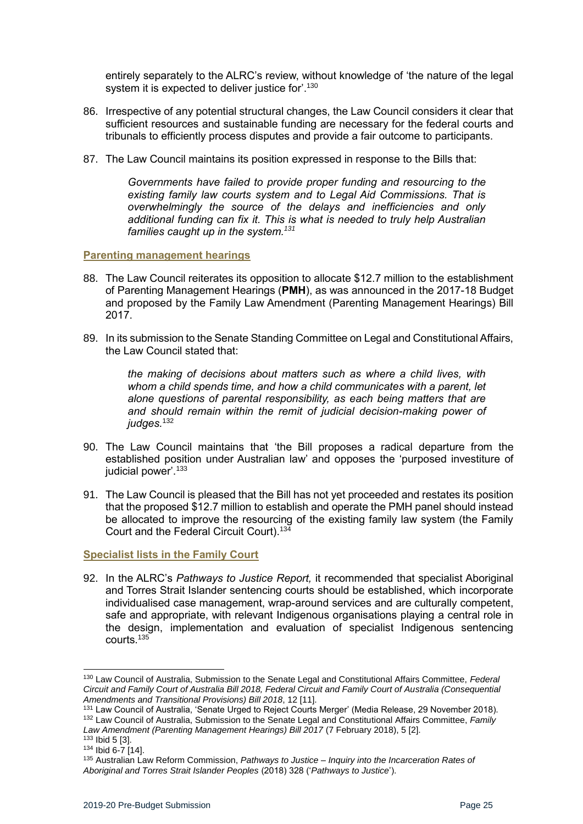entirely separately to the ALRC's review, without knowledge of 'the nature of the legal system it is expected to deliver justice for'.<sup>130</sup>

- 86. Irrespective of any potential structural changes, the Law Council considers it clear that sufficient resources and sustainable funding are necessary for the federal courts and tribunals to efficiently process disputes and provide a fair outcome to participants.
- 87. The Law Council maintains its position expressed in response to the Bills that:

*Governments have failed to provide proper funding and resourcing to the existing family law courts system and to Legal Aid Commissions. That is overwhelmingly the source of the delays and inefficiencies and only additional funding can fix it. This is what is needed to truly help Australian families caught up in the system.<sup>131</sup>*

#### <span id="page-24-0"></span>**Parenting management hearings**

- 88. The Law Council reiterates its opposition to allocate \$12.7 million to the establishment of Parenting Management Hearings (**PMH**), as was announced in the 2017-18 Budget and proposed by the Family Law Amendment (Parenting Management Hearings) Bill 2017.
- 89. In its submission to the Senate Standing Committee on Legal and Constitutional Affairs, the Law Council stated that:

*the making of decisions about matters such as where a child lives, with whom a child spends time, and how a child communicates with a parent, let alone questions of parental responsibility, as each being matters that are and should remain within the remit of judicial decision-making power of judges.*<sup>132</sup>

- 90. The Law Council maintains that 'the Bill proposes a radical departure from the established position under Australian law' and opposes the 'purposed investiture of judicial power'. 133
- 91. The Law Council is pleased that the Bill has not yet proceeded and restates its position that the proposed \$12.7 million to establish and operate the PMH panel should instead be allocated to improve the resourcing of the existing family law system (the Family Court and the Federal Circuit Court).<sup>134</sup>

<span id="page-24-1"></span>**Specialist lists in the Family Court** 

92. In the ALRC's *Pathways to Justice Report,* it recommended that specialist Aboriginal and Torres Strait Islander sentencing courts should be established, which incorporate individualised case management, wrap-around services and are culturally competent, safe and appropriate, with relevant Indigenous organisations playing a central role in the design, implementation and evaluation of specialist Indigenous sentencing courts<sup>135</sup>

 $\overline{a}$ 

<sup>130</sup> Law Council of Australia, Submission to the Senate Legal and Constitutional Affairs Committee, *Federal Circuit and Family Court of Australia Bill 2018, Federal Circuit and Family Court of Australia (Consequential Amendments and Transitional Provisions) Bill 2018*, 12 [11].

<sup>131</sup> Law Council of Australia, 'Senate Urged to Reject Courts Merger' (Media Release, 29 November 2018). <sup>132</sup> Law Council of Australia, Submission to the Senate Legal and Constitutional Affairs Committee, *Family Law Amendment (Parenting Management Hearings) Bill 2017* (7 February 2018), 5 [2]. <sup>133</sup> Ibid 5 [3].

<sup>134</sup> Ibid 6-7 [14].

<sup>135</sup> Australian Law Reform Commission, *Pathways to Justice – Inquiry into the Incarceration Rates of Aboriginal and Torres Strait Islander Peoples* (2018) 328 ('*Pathways to Justice*').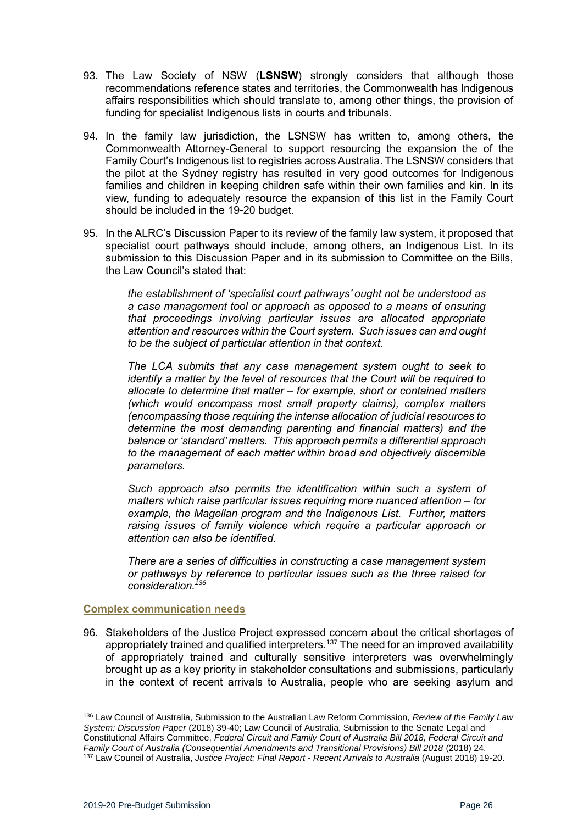- 93. The Law Society of NSW (**LSNSW**) strongly considers that although those recommendations reference states and territories, the Commonwealth has Indigenous affairs responsibilities which should translate to, among other things, the provision of funding for specialist Indigenous lists in courts and tribunals.
- 94. In the family law jurisdiction, the LSNSW has written to, among others, the Commonwealth Attorney-General to support resourcing the expansion the of the Family Court's Indigenous list to registries across Australia. The LSNSW considers that the pilot at the Sydney registry has resulted in very good outcomes for Indigenous families and children in keeping children safe within their own families and kin. In its view, funding to adequately resource the expansion of this list in the Family Court should be included in the 19-20 budget.
- 95. In the ALRC's Discussion Paper to its review of the family law system, it proposed that specialist court pathways should include, among others, an Indigenous List. In its submission to this Discussion Paper and in its submission to Committee on the Bills, the Law Council's stated that:

*the establishment of 'specialist court pathways' ought not be understood as a case management tool or approach as opposed to a means of ensuring that proceedings involving particular issues are allocated appropriate attention and resources within the Court system. Such issues can and ought to be the subject of particular attention in that context.* 

*The LCA submits that any case management system ought to seek to identify a matter by the level of resources that the Court will be required to allocate to determine that matter – for example, short or contained matters (which would encompass most small property claims), complex matters (encompassing those requiring the intense allocation of judicial resources to determine the most demanding parenting and financial matters) and the balance or 'standard' matters. This approach permits a differential approach to the management of each matter within broad and objectively discernible parameters.* 

*Such approach also permits the identification within such a system of matters which raise particular issues requiring more nuanced attention – for example, the Magellan program and the Indigenous List. Further, matters raising issues of family violence which require a particular approach or attention can also be identified.* 

*There are a series of difficulties in constructing a case management system or pathways by reference to particular issues such as the three raised for consideration.<sup>136</sup>*

#### <span id="page-25-0"></span>**Complex communication needs**

96. Stakeholders of the Justice Project expressed concern about the critical shortages of appropriately trained and qualified interpreters.<sup>137</sup> The need for an improved availability of appropriately trained and culturally sensitive interpreters was overwhelmingly brought up as a key priority in stakeholder consultations and submissions, particularly in the context of recent arrivals to Australia, people who are seeking asylum and

<sup>136</sup> Law Council of Australia, Submission to the Australian Law Reform Commission, *Review of the Family Law System: Discussion Paper* (2018) 39-40; Law Council of Australia, Submission to the Senate Legal and Constitutional Affairs Committee, *Federal Circuit and Family Court of Australia Bill 2018, Federal Circuit and Family Court of Australia (Consequential Amendments and Transitional Provisions) Bill 2018* (2018) 24. <sup>137</sup> Law Council of Australia, *Justice Project: Final Report - Recent Arrivals to Australia* (August 2018) 19-20.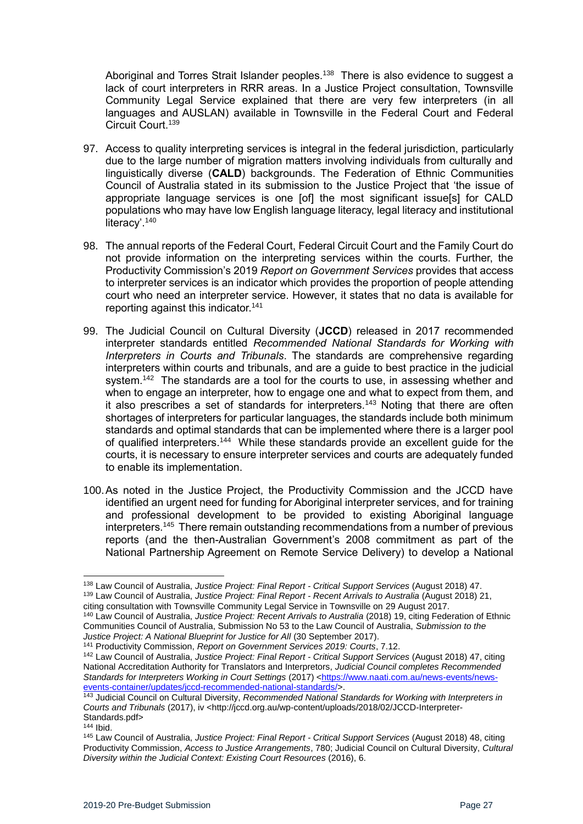Aboriginal and Torres Strait Islander peoples.<sup>138</sup> There is also evidence to suggest a lack of court interpreters in RRR areas. In a Justice Project consultation, Townsville Community Legal Service explained that there are very few interpreters (in all languages and AUSLAN) available in Townsville in the Federal Court and Federal Circuit Court.<sup>139</sup>

- 97. Access to quality interpreting services is integral in the federal jurisdiction, particularly due to the large number of migration matters involving individuals from culturally and linguistically diverse (**CALD**) backgrounds. The Federation of Ethnic Communities Council of Australia stated in its submission to the Justice Project that 'the issue of appropriate language services is one [of] the most significant issue[s] for CALD populations who may have low English language literacy, legal literacy and institutional literacy'.<sup>140</sup>
- 98. The annual reports of the Federal Court, Federal Circuit Court and the Family Court do not provide information on the interpreting services within the courts. Further, the Productivity Commission's 2019 *Report on Government Services* provides that access to interpreter services is an indicator which provides the proportion of people attending court who need an interpreter service. However, it states that no data is available for reporting against this indicator.<sup>141</sup>
- 99. The Judicial Council on Cultural Diversity (**JCCD**) released in 2017 recommended interpreter standards entitled *Recommended National Standards for Working with Interpreters in Courts and Tribunals*. The standards are comprehensive regarding interpreters within courts and tribunals, and are a guide to best practice in the judicial system.<sup>142</sup> The standards are a tool for the courts to use, in assessing whether and when to engage an interpreter, how to engage one and what to expect from them, and it also prescribes a set of standards for interpreters.<sup>143</sup> Noting that there are often shortages of interpreters for particular languages, the standards include both minimum standards and optimal standards that can be implemented where there is a larger pool of qualified interpreters.<sup>144</sup> While these standards provide an excellent guide for the courts, it is necessary to ensure interpreter services and courts are adequately funded to enable its implementation.
- 100.As noted in the Justice Project, the Productivity Commission and the JCCD have identified an urgent need for funding for Aboriginal interpreter services, and for training and professional development to be provided to existing Aboriginal language interpreters.<sup>145</sup> There remain outstanding recommendations from a number of previous reports (and the then-Australian Government's 2008 commitment as part of the National Partnership Agreement on Remote Service Delivery) to develop a National

<sup>138</sup> Law Council of Australia, *Justice Project: Final Report - Critical Support Services* (August 2018) 47. <sup>139</sup> Law Council of Australia, *Justice Project: Final Report - Recent Arrivals to Australia* (August 2018) 21, citing consultation with Townsville Community Legal Service in Townsville on 29 August 2017.

<sup>140</sup> Law Council of Australia, *Justice Project: Recent Arrivals to Australia* (2018) 19, citing Federation of Ethnic Communities Council of Australia, Submission No 53 to the Law Council of Australia, *Submission to the*  Justice Project: A National Blueprint for Justice for All (30 September 2017).

<sup>141</sup> Productivity Commission, *Report on Government Services 2019: Courts*, 7.12.

<sup>142</sup> Law Council of Australia, *Justice Project: Final Report - Critical Support Services* (August 2018) 47, citing National Accreditation Authority for Translators and Interpretors, *Judicial Council completes Recommended*  Standards for Interpreters Working in Court Settings (2017) [<https://www.naati.com.au/news-events/news](https://www.naati.com.au/news-events/news-events-container/updates/jccd-recommended-national-standards/)[events-container/updates/jccd-recommended-national-standards/>](https://www.naati.com.au/news-events/news-events-container/updates/jccd-recommended-national-standards/).

<sup>143</sup> Judicial Council on Cultural Diversity, *Recommended National Standards for Working with Interpreters in Courts and Tribunals* (2017), iv <http://jccd.org.au/wp-content/uploads/2018/02/JCCD-Interpreter-Standards.pdf>

<sup>144</sup> Ibid.

<sup>145</sup> Law Council of Australia, *Justice Project: Final Report - Critical Support Services* (August 2018) 48, citing Productivity Commission, *Access to Justice Arrangements*, 780; Judicial Council on Cultural Diversity, *Cultural Diversity within the Judicial Context: Existing Court Resources* (2016), 6.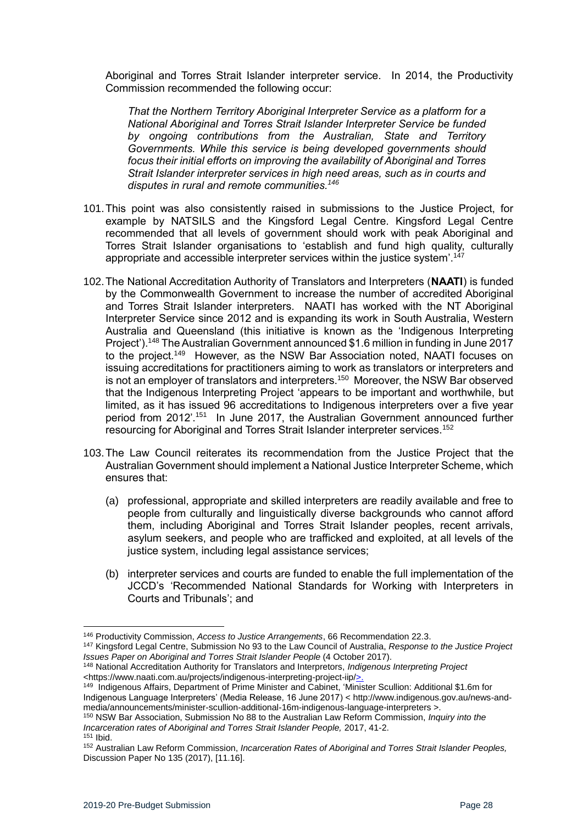Aboriginal and Torres Strait Islander interpreter service. In 2014, the Productivity Commission recommended the following occur:

*That the Northern Territory Aboriginal Interpreter Service as a platform for a National Aboriginal and Torres Strait Islander Interpreter Service be funded by ongoing contributions from the Australian, State and Territory Governments. While this service is being developed governments should focus their initial efforts on improving the availability of Aboriginal and Torres Strait Islander interpreter services in high need areas, such as in courts and disputes in rural and remote communities.<sup>146</sup>*

- 101.This point was also consistently raised in submissions to the Justice Project, for example by NATSILS and the Kingsford Legal Centre. Kingsford Legal Centre recommended that all levels of government should work with peak Aboriginal and Torres Strait Islander organisations to 'establish and fund high quality, culturally appropriate and accessible interpreter services within the justice system'.<sup>147</sup>
- 102.The National Accreditation Authority of Translators and Interpreters (**NAATI**) is funded by the Commonwealth Government to increase the number of accredited Aboriginal and Torres Strait Islander interpreters. NAATI has worked with the NT Aboriginal Interpreter Service since 2012 and is expanding its work in South Australia, Western Australia and Queensland (this initiative is known as the 'Indigenous Interpreting Project').<sup>148</sup> The Australian Government announced \$1.6 million in funding in June 2017 to the project.<sup>149</sup> However, as the NSW Bar Association noted, NAATI focuses on issuing accreditations for practitioners aiming to work as translators or interpreters and is not an employer of translators and interpreters.<sup>150</sup> Moreover, the NSW Bar observed that the Indigenous Interpreting Project 'appears to be important and worthwhile, but limited, as it has issued 96 accreditations to Indigenous interpreters over a five year period from 2012'.<sup>151</sup> In June 2017, the Australian Government announced further resourcing for Aboriginal and Torres Strait Islander interpreter services.<sup>152</sup>
- 103.The Law Council reiterates its recommendation from the Justice Project that the Australian Government should implement a National Justice Interpreter Scheme, which ensures that:
	- (a) professional, appropriate and skilled interpreters are readily available and free to people from culturally and linguistically diverse backgrounds who cannot afford them, including Aboriginal and Torres Strait Islander peoples, recent arrivals, asylum seekers, and people who are trafficked and exploited, at all levels of the justice system, including legal assistance services;
	- (b) interpreter services and courts are funded to enable the full implementation of the JCCD's 'Recommended National Standards for Working with Interpreters in Courts and Tribunals'; and

<sup>146</sup> Productivity Commission, *Access to Justice Arrangements*, 66 Recommendation 22.3.

<sup>147</sup> Kingsford Legal Centre, Submission No 93 to the Law Council of Australia, *Response to the Justice Project Issues Paper on Aboriginal and Torres Strait Islander People* (4 October 2017).

<sup>148</sup> National Accreditation Authority for Translators and Interpretors, *Indigenous Interpreting Project*  <https://www.naati.com.au/projects/indigenous-interpreting-project-iip/>.

<sup>149</sup> Indigenous Affairs, Department of Prime Minister and Cabinet, 'Minister Scullion: Additional \$1.6m for Indigenous Language Interpreters' (Media Release, 16 June 2017) < http://www.indigenous.gov.au/news-andmedia/announcements/minister-scullion-additional-16m-indigenous-language-interpreters >.

<sup>150</sup> NSW Bar Association, Submission No 88 to the Australian Law Reform Commission, *Inquiry into the Incarceration rates of Aboriginal and Torres Strait Islander People,* 2017, 41-2. <sup>151</sup> Ibid.

<sup>152</sup> Australian Law Reform Commission, *Incarceration Rates of Aboriginal and Torres Strait Islander Peoples,* Discussion Paper No 135 (2017), [11.16].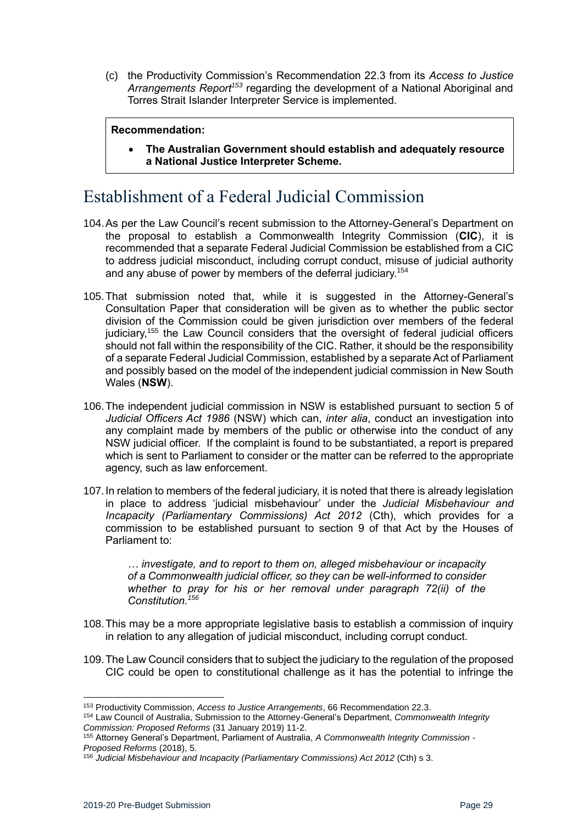(c) the Productivity Commission's Recommendation 22.3 from its *Access to Justice Arrangements Report<sup>153</sup>* regarding the development of a National Aboriginal and Torres Strait Islander Interpreter Service is implemented.

#### **Recommendation:**

• **The Australian Government should establish and adequately resource a National Justice Interpreter Scheme.**

# <span id="page-28-0"></span>Establishment of a Federal Judicial Commission

- 104.As per the Law Council's recent submission to the Attorney-General's Department on the proposal to establish a Commonwealth Integrity Commission (**CIC**), it is recommended that a separate Federal Judicial Commission be established from a CIC to address judicial misconduct, including corrupt conduct, misuse of judicial authority and any abuse of power by members of the deferral judiciary.<sup>154</sup>
- 105.That submission noted that, while it is suggested in the Attorney-General's Consultation Paper that consideration will be given as to whether the public sector division of the Commission could be given jurisdiction over members of the federal judiciary,<sup>155</sup> the Law Council considers that the oversight of federal judicial officers should not fall within the responsibility of the CIC. Rather, it should be the responsibility of a separate Federal Judicial Commission, established by a separate Act of Parliament and possibly based on the model of the independent judicial commission in New South Wales (**NSW**).
- 106.The independent judicial commission in NSW is established pursuant to section 5 of *Judicial Officers Act 1986* (NSW) which can, *inter alia*, conduct an investigation into any complaint made by members of the public or otherwise into the conduct of any NSW judicial officer. If the complaint is found to be substantiated, a report is prepared which is sent to Parliament to consider or the matter can be referred to the appropriate agency, such as law enforcement.
- 107.In relation to members of the federal judiciary, it is noted that there is already legislation in place to address 'judicial misbehaviour' under the *Judicial Misbehaviour and Incapacity (Parliamentary Commissions) Act 2012* (Cth), which provides for a commission to be established pursuant to section 9 of that Act by the Houses of Parliament to:

*… investigate, and to report to them on, alleged misbehaviour or incapacity of a Commonwealth judicial officer, so they can be well-informed to consider whether to pray for his or her removal under paragraph 72(ii) of the Constitution.<sup>156</sup>*

- 108.This may be a more appropriate legislative basis to establish a commission of inquiry in relation to any allegation of judicial misconduct, including corrupt conduct.
- 109.The Law Council considers that to subject the judiciary to the regulation of the proposed CIC could be open to constitutional challenge as it has the potential to infringe the

<sup>1</sup> <sup>153</sup> Productivity Commission, *Access to Justice Arrangements*, 66 Recommendation 22.3.

<sup>154</sup> Law Council of Australia, Submission to the Attorney-General's Department, *Commonwealth Integrity Commission: Proposed Reforms* (31 January 2019) 11-2.

<sup>155</sup> Attorney General's Department, Parliament of Australia, *A Commonwealth Integrity Commission - Proposed Reforms* (2018), 5.

<sup>156</sup> *Judicial Misbehaviour and Incapacity (Parliamentary Commissions) Act 2012* (Cth) s 3.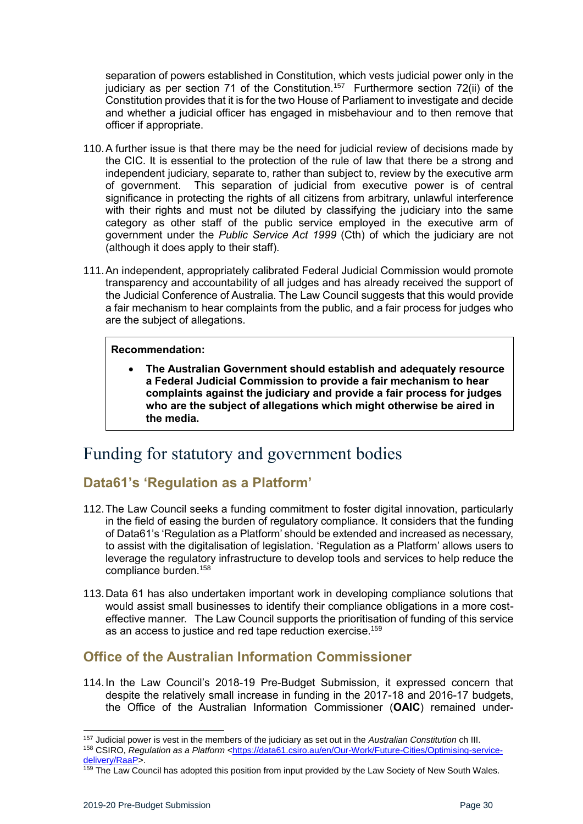separation of powers established in Constitution, which vests judicial power only in the judiciary as per section 71 of the Constitution.<sup>157</sup> Furthermore section 72(ii) of the Constitution provides that it is for the two House of Parliament to investigate and decide and whether a judicial officer has engaged in misbehaviour and to then remove that officer if appropriate.

- 110.A further issue is that there may be the need for judicial review of decisions made by the CIC. It is essential to the protection of the rule of law that there be a strong and independent judiciary, separate to, rather than subject to, review by the executive arm of government. This separation of judicial from executive power is of central significance in protecting the rights of all citizens from arbitrary, unlawful interference with their rights and must not be diluted by classifying the judiciary into the same category as other staff of the public service employed in the executive arm of government under the *Public Service Act 1999* (Cth) of which the judiciary are not (although it does apply to their staff).
- 111.An independent, appropriately calibrated Federal Judicial Commission would promote transparency and accountability of all judges and has already received the support of the Judicial Conference of Australia. The Law Council suggests that this would provide a fair mechanism to hear complaints from the public, and a fair process for judges who are the subject of allegations.

#### **Recommendation:**

• **The Australian Government should establish and adequately resource a Federal Judicial Commission to provide a fair mechanism to hear complaints against the judiciary and provide a fair process for judges who are the subject of allegations which might otherwise be aired in the media.**

# <span id="page-29-0"></span>Funding for statutory and government bodies

# <span id="page-29-1"></span>**Data61's 'Regulation as a Platform'**

- 112.The Law Council seeks a funding commitment to foster digital innovation, particularly in the field of easing the burden of regulatory compliance. It considers that the funding of Data61's 'Regulation as a Platform' should be extended and increased as necessary, to assist with the digitalisation of legislation. 'Regulation as a Platform' allows users to leverage the regulatory infrastructure to develop tools and services to help reduce the compliance burden.<sup>158</sup>
- 113.Data 61 has also undertaken important work in developing compliance solutions that would assist small businesses to identify their compliance obligations in a more costeffective manner. The Law Council supports the prioritisation of funding of this service as an access to justice and red tape reduction exercise.<sup>159</sup>

## <span id="page-29-2"></span>**Office of the Australian Information Commissioner**

114.In the Law Council's 2018-19 Pre-Budget Submission, it expressed concern that despite the relatively small increase in funding in the 2017-18 and 2016-17 budgets, the Office of the Australian Information Commissioner (**OAIC**) remained under-

159 The Law Council has adopted this position from input provided by the Law Society of New South Wales.

<sup>157</sup> Judicial power is vest in the members of the judiciary as set out in the *Australian Constitution* ch III. 158 CSIRO, *Regulation as a Platform* [<https://data61.csiro.au/en/Our-Work/Future-Cities/Optimising-service](https://data61.csiro.au/en/Our-Work/Future-Cities/Optimising-service-delivery/RaaP)[delivery/RaaP>](https://data61.csiro.au/en/Our-Work/Future-Cities/Optimising-service-delivery/RaaP).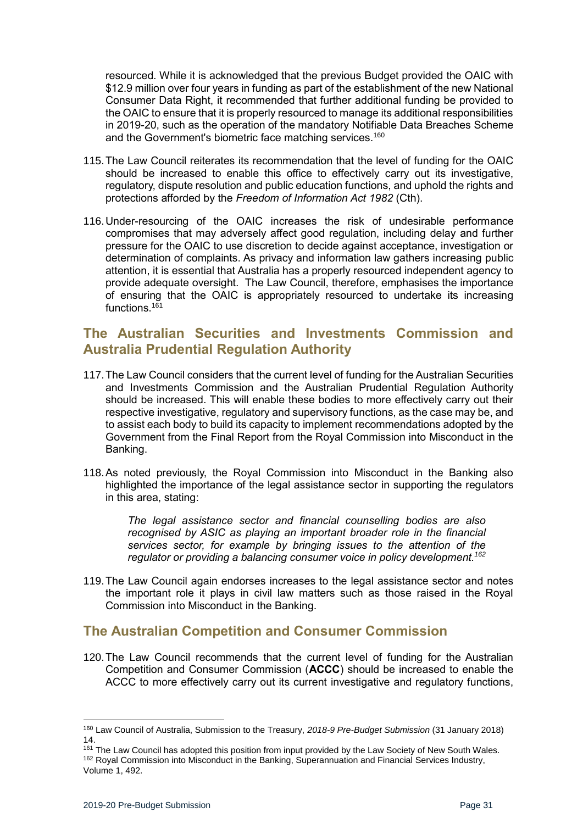resourced. While it is acknowledged that the previous Budget provided the OAIC with \$12.9 million over four years in funding as part of the establishment of the new National Consumer Data Right, it recommended that further additional funding be provided to the OAIC to ensure that it is properly resourced to manage its additional responsibilities in 2019-20, such as the operation of the mandatory Notifiable Data Breaches Scheme and the Government's biometric face matching services.<sup>160</sup>

- 115.The Law Council reiterates its recommendation that the level of funding for the OAIC should be increased to enable this office to effectively carry out its investigative, regulatory, dispute resolution and public education functions, and uphold the rights and protections afforded by the *Freedom of Information Act 1982* (Cth).
- 116.Under-resourcing of the OAIC increases the risk of undesirable performance compromises that may adversely affect good regulation, including delay and further pressure for the OAIC to use discretion to decide against acceptance, investigation or determination of complaints. As privacy and information law gathers increasing public attention, it is essential that Australia has a properly resourced independent agency to provide adequate oversight. The Law Council, therefore, emphasises the importance of ensuring that the OAIC is appropriately resourced to undertake its increasing functions.<sup>161</sup>

## <span id="page-30-0"></span>**The Australian Securities and Investments Commission and Australia Prudential Regulation Authority**

- 117.The Law Council considers that the current level of funding for the Australian Securities and Investments Commission and the Australian Prudential Regulation Authority should be increased. This will enable these bodies to more effectively carry out their respective investigative, regulatory and supervisory functions, as the case may be, and to assist each body to build its capacity to implement recommendations adopted by the Government from the Final Report from the Royal Commission into Misconduct in the Banking.
- 118.As noted previously, the Royal Commission into Misconduct in the Banking also highlighted the importance of the legal assistance sector in supporting the regulators in this area, stating:

*The legal assistance sector and financial counselling bodies are also recognised by ASIC as playing an important broader role in the financial services sector, for example by bringing issues to the attention of the regulator or providing a balancing consumer voice in policy development.<sup>162</sup>*

119.The Law Council again endorses increases to the legal assistance sector and notes the important role it plays in civil law matters such as those raised in the Royal Commission into Misconduct in the Banking.

## <span id="page-30-1"></span>**The Australian Competition and Consumer Commission**

120.The Law Council recommends that the current level of funding for the Australian Competition and Consumer Commission (**ACCC**) should be increased to enable the ACCC to more effectively carry out its current investigative and regulatory functions,

 $\overline{a}$ 

<sup>160</sup> Law Council of Australia, Submission to the Treasury, *2018-9 Pre-Budget Submission* (31 January 2018) 14.

<sup>&</sup>lt;sup>161</sup> The Law Council has adopted this position from input provided by the Law Society of New South Wales. 162 Royal Commission into Misconduct in the Banking, Superannuation and Financial Services Industry, Volume 1, 492.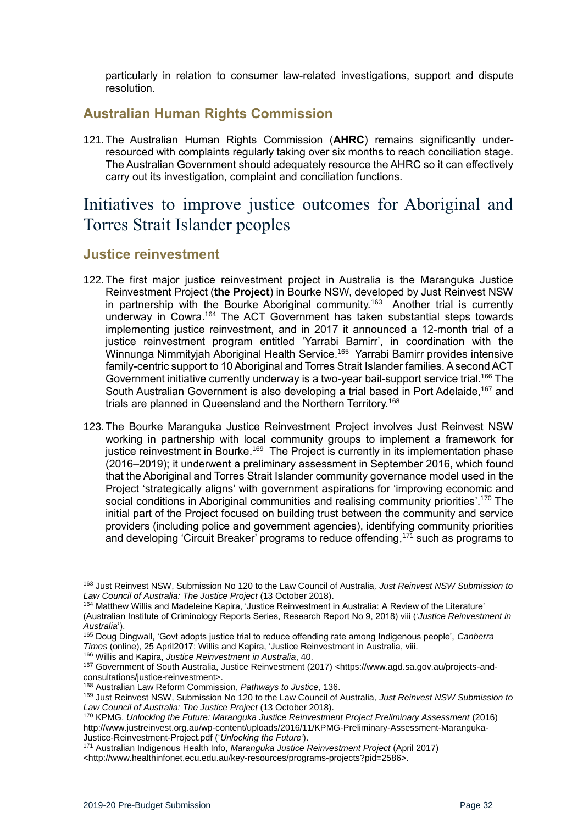particularly in relation to consumer law-related investigations, support and dispute resolution.

## <span id="page-31-0"></span>**Australian Human Rights Commission**

121.The Australian Human Rights Commission (**AHRC**) remains significantly underresourced with complaints regularly taking over six months to reach conciliation stage. The Australian Government should adequately resource the AHRC so it can effectively carry out its investigation, complaint and conciliation functions.

# <span id="page-31-1"></span>Initiatives to improve justice outcomes for Aboriginal and Torres Strait Islander peoples

### <span id="page-31-2"></span>**Justice reinvestment**

- 122.The first major justice reinvestment project in Australia is the Maranguka Justice Reinvestment Project (**the Project**) in Bourke NSW, developed by Just Reinvest NSW in partnership with the Bourke Aboriginal community.<sup>163</sup> Another trial is currently underway in Cowra.<sup>164</sup> The ACT Government has taken substantial steps towards implementing justice reinvestment, and in 2017 it announced a 12-month trial of a justice reinvestment program entitled 'Yarrabi Bamirr', in coordination with the Winnunga Nimmityjah Aboriginal Health Service.<sup>165</sup> Yarrabi Bamirr provides intensive family-centric support to 10 Aboriginal and Torres Strait Islander families. A second ACT Government initiative currently underway is a two-year bail-support service trial.<sup>166</sup> The South Australian Government is also developing a trial based in Port Adelaide.<sup>167</sup> and trials are planned in Queensland and the Northern Territory.<sup>168</sup>
- 123.The Bourke Maranguka Justice Reinvestment Project involves Just Reinvest NSW working in partnership with local community groups to implement a framework for justice reinvestment in Bourke.<sup>169</sup> The Project is currently in its implementation phase (2016–2019); it underwent a preliminary assessment in September 2016, which found that the Aboriginal and Torres Strait Islander community governance model used in the Project 'strategically aligns' with government aspirations for 'improving economic and social conditions in Aboriginal communities and realising community priorities'.<sup>170</sup> The initial part of the Project focused on building trust between the community and service providers (including police and government agencies), identifying community priorities and developing 'Circuit Breaker' programs to reduce offending,<sup>171</sup> such as programs to

<sup>166</sup> Willis and Kapira, *Justice Reinvestment in Australia*, 40.

<sup>163</sup> Just Reinvest NSW, Submission No 120 to the Law Council of Australia*, Just Reinvest NSW Submission to Law Council of Australia: The Justice Project* (13 October 2018).

<sup>164</sup> Matthew Willis and Madeleine Kapira, 'Justice Reinvestment in Australia: A Review of the Literature' (Australian Institute of Criminology Reports Series, Research Report No 9, 2018) viii ('*Justice Reinvestment in Australia*').

<sup>165</sup> Doug Dingwall, 'Govt adopts justice trial to reduce offending rate among Indigenous people', *Canberra Times* (online), 25 April2017; Willis and Kapira, 'Justice Reinvestment in Australia, viii.

<sup>167</sup> Government of South Australia, Justice Reinvestment (2017) <https://www.agd.sa.gov.au/projects-andconsultations/justice-reinvestment>.

<sup>168</sup> Australian Law Reform Commission, *Pathways to Justice,* 136.

<sup>169</sup> Just Reinvest NSW, Submission No 120 to the Law Council of Australia*, Just Reinvest NSW Submission to Law Council of Australia: The Justice Project* (13 October 2018).

<sup>170</sup> KPMG, *Unlocking the Future: Maranguka Justice Reinvestment Project Preliminary Assessment* (2016) http://www.justreinvest.org.au/wp-content/uploads/2016/11/KPMG-Preliminary-Assessment-Maranguka-Justice-Reinvestment-Project.pdf ('*Unlocking the Future'*).

<sup>171</sup> Australian Indigenous Health Info, *Maranguka Justice Reinvestment Project* (April 2017) <http://www.healthinfonet.ecu.edu.au/key-resources/programs-projects?pid=2586>.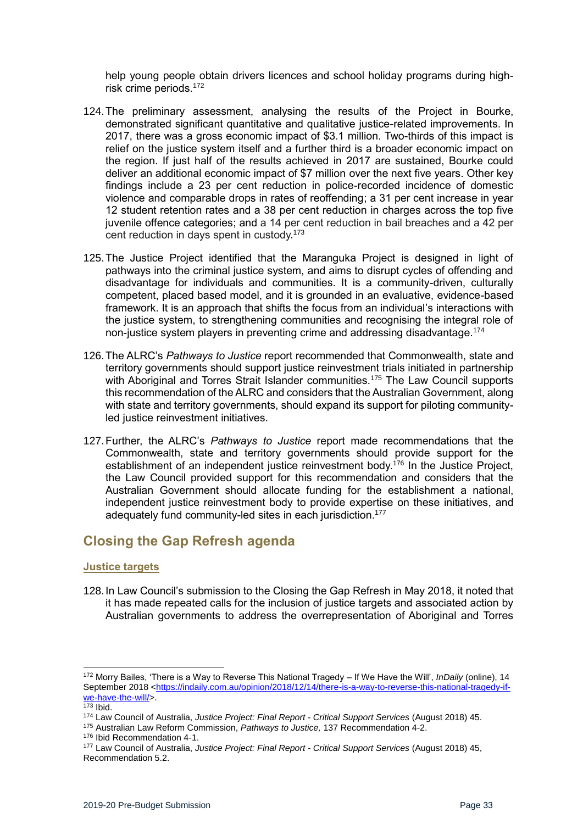help young people obtain drivers licences and school holiday programs during highrisk crime periods.<sup>172</sup>

- 124.The preliminary assessment, analysing the results of the Project in Bourke, demonstrated significant quantitative and qualitative justice-related improvements. In 2017, there was a gross economic impact of \$3.1 million. Two-thirds of this impact is relief on the justice system itself and a further third is a broader economic impact on the region. If just half of the results achieved in 2017 are sustained, Bourke could deliver an additional economic impact of \$7 million over the next five years. Other key findings include a 23 per cent reduction in police-recorded incidence of domestic violence and comparable drops in rates of reoffending; a 31 per cent increase in year 12 student retention rates and a 38 per cent reduction in charges across the top five juvenile offence categories; and a 14 per cent reduction in bail breaches and a 42 per cent reduction in days spent in custody.<sup>173</sup>
- 125.The Justice Project identified that the Maranguka Project is designed in light of pathways into the criminal justice system, and aims to disrupt cycles of offending and disadvantage for individuals and communities. It is a community-driven, culturally competent, placed based model, and it is grounded in an evaluative, evidence-based framework. It is an approach that shifts the focus from an individual's interactions with the justice system, to strengthening communities and recognising the integral role of non-justice system players in preventing crime and addressing disadvantage.<sup>174</sup>
- 126.The ALRC's *Pathways to Justice* report recommended that Commonwealth, state and territory governments should support justice reinvestment trials initiated in partnership with Aboriginal and Torres Strait Islander communities.<sup>175</sup> The Law Council supports this recommendation of the ALRC and considers that the Australian Government, along with state and territory governments, should expand its support for piloting communityled justice reinvestment initiatives.
- 127.Further, the ALRC's *Pathways to Justice* report made recommendations that the Commonwealth, state and territory governments should provide support for the establishment of an independent justice reinvestment body.<sup>176</sup> In the Justice Project, the Law Council provided support for this recommendation and considers that the Australian Government should allocate funding for the establishment a national, independent justice reinvestment body to provide expertise on these initiatives, and adequately fund community-led sites in each jurisdiction. 177

# <span id="page-32-0"></span>**Closing the Gap Refresh agenda**

#### <span id="page-32-1"></span>**Justice targets**

128.In Law Council's submission to the Closing the Gap Refresh in May 2018, it noted that it has made repeated calls for the inclusion of justice targets and associated action by Australian governments to address the overrepresentation of Aboriginal and Torres

1

<sup>175</sup> Australian Law Reform Commission, *Pathways to Justice,* 137 Recommendation 4-2.

<sup>172</sup> Morry Bailes, 'There is a Way to Reverse This National Tragedy – If We Have the Will', *InDaily* (online), 14 September 2018 [<https://indaily.com.au/opinion/2018/12/14/there-is-a-way-to-reverse-this-national-tragedy-if](https://indaily.com.au/opinion/2018/12/14/there-is-a-way-to-reverse-this-national-tragedy-if-we-have-the-will/)[we-have-the-will/>](https://indaily.com.au/opinion/2018/12/14/there-is-a-way-to-reverse-this-national-tragedy-if-we-have-the-will/).

 $173$  Ibid.

<sup>174</sup> Law Council of Australia, *Justice Project: Final Report - Critical Support Services* (August 2018) 45.

<sup>176</sup> Ibid Recommendation 4-1.

<sup>177</sup> Law Council of Australia, *Justice Project: Final Report - Critical Support Services* (August 2018) 45, Recommendation 5.2.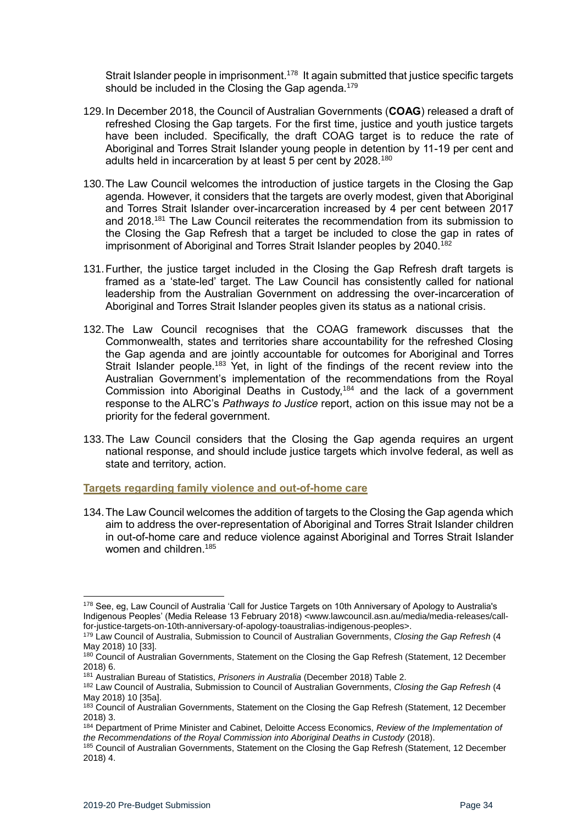Strait Islander people in imprisonment.<sup>178</sup> It again submitted that justice specific targets should be included in the Closing the Gap agenda.<sup>179</sup>

- 129.In December 2018, the Council of Australian Governments (**COAG**) released a draft of refreshed Closing the Gap targets. For the first time, justice and youth justice targets have been included. Specifically, the draft COAG target is to reduce the rate of Aboriginal and Torres Strait Islander young people in detention by 11-19 per cent and adults held in incarceration by at least 5 per cent by 2028.<sup>180</sup>
- 130.The Law Council welcomes the introduction of justice targets in the Closing the Gap agenda. However, it considers that the targets are overly modest, given that Aboriginal and Torres Strait Islander over-incarceration increased by 4 per cent between 2017 and 2018. <sup>181</sup> The Law Council reiterates the recommendation from its submission to the Closing the Gap Refresh that a target be included to close the gap in rates of imprisonment of Aboriginal and Torres Strait Islander peoples by 2040.<sup>182</sup>
- 131.Further, the justice target included in the Closing the Gap Refresh draft targets is framed as a 'state-led' target. The Law Council has consistently called for national leadership from the Australian Government on addressing the over-incarceration of Aboriginal and Torres Strait Islander peoples given its status as a national crisis.
- 132.The Law Council recognises that the COAG framework discusses that the Commonwealth, states and territories share accountability for the refreshed Closing the Gap agenda and are jointly accountable for outcomes for Aboriginal and Torres Strait Islander people.<sup>183</sup> Yet, in light of the findings of the recent review into the Australian Government's implementation of the recommendations from the Royal Commission into Aboriginal Deaths in Custody,<sup>184</sup> and the lack of a government response to the ALRC's *Pathways to Justice* report, action on this issue may not be a priority for the federal government.
- 133.The Law Council considers that the Closing the Gap agenda requires an urgent national response, and should include justice targets which involve federal, as well as state and territory, action.

<span id="page-33-0"></span>**Targets regarding family violence and out-of-home care** 

134.The Law Council welcomes the addition of targets to the Closing the Gap agenda which aim to address the over-representation of Aboriginal and Torres Strait Islander children in out-of-home care and reduce violence against Aboriginal and Torres Strait Islander women and children.<sup>185</sup>

<sup>1</sup> <sup>178</sup> See, eg, Law Council of Australia 'Call for Justice Targets on 10th Anniversary of Apology to Australia's Indigenous Peoples' (Media Release 13 February 2018) <www.lawcouncil.asn.au/media/media-releases/callfor-justice-targets-on-10th-anniversary-of-apology-toaustralias-indigenous-peoples>.

<sup>179</sup> Law Council of Australia, Submission to Council of Australian Governments, *Closing the Gap Refresh* (4 May 2018) 10 [33].

<sup>&</sup>lt;sup>180</sup> Council of Australian Governments, Statement on the Closing the Gap Refresh (Statement, 12 December 2018) 6.

<sup>181</sup> Australian Bureau of Statistics, *Prisoners in Australia* (December 2018) Table 2.

<sup>182</sup> Law Council of Australia, Submission to Council of Australian Governments, *Closing the Gap Refresh* (4 May 2018) 10 [35a].

<sup>183</sup> Council of Australian Governments, Statement on the Closing the Gap Refresh (Statement, 12 December 2018) 3.

<sup>184</sup> Department of Prime Minister and Cabinet, Deloitte Access Economics, *Review of the Implementation of the Recommendations of the Royal Commission into Aboriginal Deaths in Custody* (2018).

<sup>185</sup> Council of Australian Governments, Statement on the Closing the Gap Refresh (Statement, 12 December 2018) 4.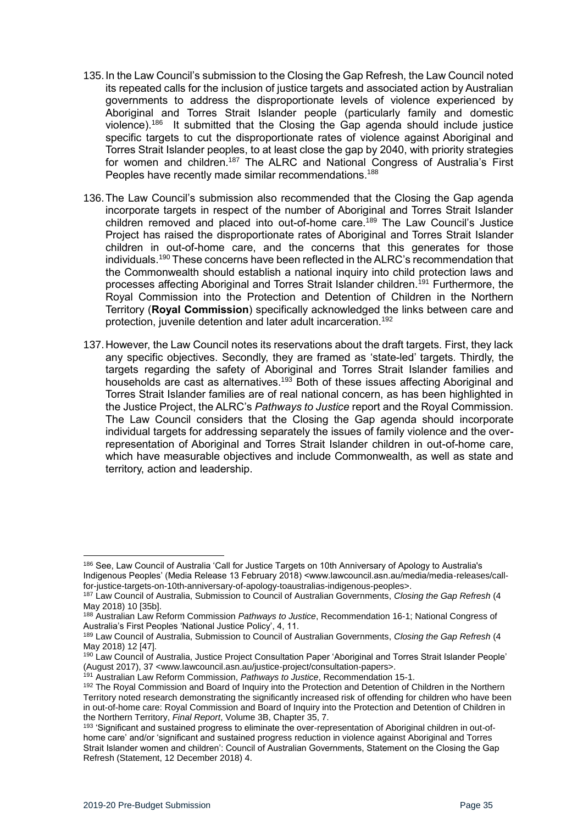- 135.In the Law Council's submission to the Closing the Gap Refresh, the Law Council noted its repeated calls for the inclusion of justice targets and associated action by Australian governments to address the disproportionate levels of violence experienced by Aboriginal and Torres Strait Islander people (particularly family and domestic violence).<sup>186</sup> It submitted that the Closing the Gap agenda should include justice specific targets to cut the disproportionate rates of violence against Aboriginal and Torres Strait Islander peoples, to at least close the gap by 2040, with priority strategies for women and children.<sup>187</sup> The ALRC and National Congress of Australia's First Peoples have recently made similar recommendations.<sup>188</sup>
- 136.The Law Council's submission also recommended that the Closing the Gap agenda incorporate targets in respect of the number of Aboriginal and Torres Strait Islander children removed and placed into out-of-home care.<sup>189</sup> The Law Council's Justice Project has raised the disproportionate rates of Aboriginal and Torres Strait Islander children in out-of-home care, and the concerns that this generates for those individuals.<sup>190</sup> These concerns have been reflected in the ALRC's recommendation that the Commonwealth should establish a national inquiry into child protection laws and processes affecting Aboriginal and Torres Strait Islander children.<sup>191</sup> Furthermore, the Royal Commission into the Protection and Detention of Children in the Northern Territory (**Royal Commission**) specifically acknowledged the links between care and protection, juvenile detention and later adult incarceration.<sup>192</sup>
- 137.However, the Law Council notes its reservations about the draft targets. First, they lack any specific objectives. Secondly, they are framed as 'state-led' targets. Thirdly, the targets regarding the safety of Aboriginal and Torres Strait Islander families and households are cast as alternatives.<sup>193</sup> Both of these issues affecting Aboriginal and Torres Strait Islander families are of real national concern, as has been highlighted in the Justice Project, the ALRC's *Pathways to Justice* report and the Royal Commission. The Law Council considers that the Closing the Gap agenda should incorporate individual targets for addressing separately the issues of family violence and the overrepresentation of Aboriginal and Torres Strait Islander children in out-of-home care, which have measurable objectives and include Commonwealth, as well as state and territory, action and leadership.

<sup>186</sup> See, Law Council of Australia 'Call for Justice Targets on 10th Anniversary of Apology to Australia's Indigenous Peoples' (Media Release 13 February 2018) <www.lawcouncil.asn.au/media/media-releases/callfor-justice-targets-on-10th-anniversary-of-apology-toaustralias-indigenous-peoples>.

<sup>187</sup> Law Council of Australia, Submission to Council of Australian Governments, *Closing the Gap Refresh* (4 May 2018) 10 [35b].

<sup>188</sup> Australian Law Reform Commission *Pathways to Justice*, Recommendation 16-1; National Congress of Australia's First Peoples 'National Justice Policy', 4, 11.

<sup>189</sup> Law Council of Australia, Submission to Council of Australian Governments, *Closing the Gap Refresh* (4 May 2018) 12 [47].

<sup>&</sup>lt;sup>190</sup> Law Council of Australia, Justice Project Consultation Paper 'Aboriginal and Torres Strait Islander People' (August 2017), 37 <www.lawcouncil.asn.au/justice-project/consultation-papers>.

<sup>191</sup> Australian Law Reform Commission, *Pathways to Justice*, Recommendation 15-1.

<sup>&</sup>lt;sup>192</sup> The Royal Commission and Board of Inquiry into the Protection and Detention of Children in the Northern Territory noted research demonstrating the significantly increased risk of offending for children who have been in out-of-home care: Royal Commission and Board of Inquiry into the Protection and Detention of Children in the Northern Territory, *Final Report*, Volume 3B, Chapter 35, 7.

<sup>&</sup>lt;sup>193</sup> 'Significant and sustained progress to eliminate the over-representation of Aboriginal children in out-ofhome care' and/or 'significant and sustained progress reduction in violence against Aboriginal and Torres Strait Islander women and children': Council of Australian Governments, Statement on the Closing the Gap Refresh (Statement, 12 December 2018) 4.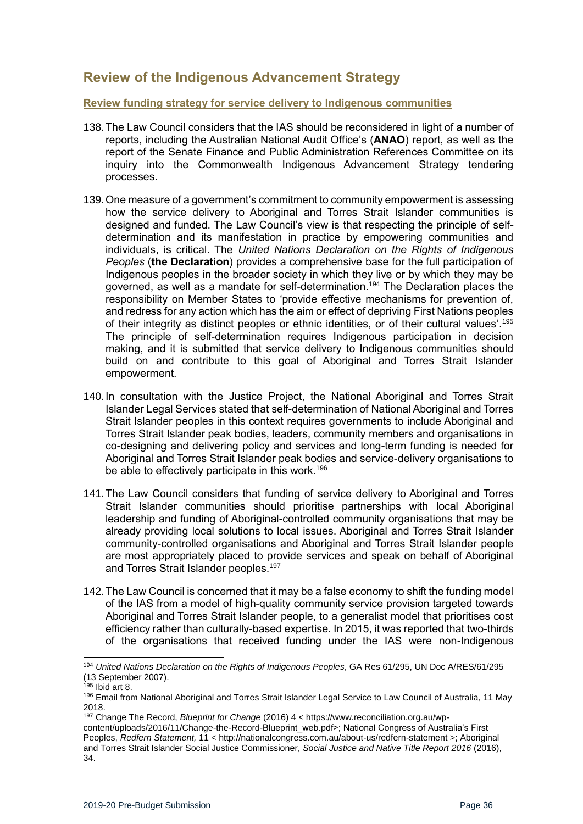# <span id="page-35-0"></span>**Review of the Indigenous Advancement Strategy**

#### <span id="page-35-1"></span>**Review funding strategy for service delivery to Indigenous communities**

- 138.The Law Council considers that the IAS should be reconsidered in light of a number of reports, including the Australian National Audit Office's (**ANAO**) report, as well as the report of the Senate Finance and Public Administration References Committee on its inquiry into the Commonwealth Indigenous Advancement Strategy tendering processes.
- 139.One measure of a government's commitment to community empowerment is assessing how the service delivery to Aboriginal and Torres Strait Islander communities is designed and funded. The Law Council's view is that respecting the principle of selfdetermination and its manifestation in practice by empowering communities and individuals, is critical. The *United Nations Declaration on the Rights of Indigenous Peoples* (**the Declaration**) provides a comprehensive base for the full participation of Indigenous peoples in the broader society in which they live or by which they may be governed, as well as a mandate for self-determination.<sup>194</sup> The Declaration places the responsibility on Member States to 'provide effective mechanisms for prevention of, and redress for any action which has the aim or effect of depriving First Nations peoples of their integrity as distinct peoples or ethnic identities, or of their cultural values'.<sup>195</sup> The principle of self-determination requires Indigenous participation in decision making, and it is submitted that service delivery to Indigenous communities should build on and contribute to this goal of Aboriginal and Torres Strait Islander empowerment.
- 140.In consultation with the Justice Project, the National Aboriginal and Torres Strait Islander Legal Services stated that self-determination of National Aboriginal and Torres Strait Islander peoples in this context requires governments to include Aboriginal and Torres Strait Islander peak bodies, leaders, community members and organisations in co-designing and delivering policy and services and long-term funding is needed for Aboriginal and Torres Strait Islander peak bodies and service-delivery organisations to be able to effectively participate in this work.<sup>196</sup>
- 141.The Law Council considers that funding of service delivery to Aboriginal and Torres Strait Islander communities should prioritise partnerships with local Aboriginal leadership and funding of Aboriginal-controlled community organisations that may be already providing local solutions to local issues. Aboriginal and Torres Strait Islander community-controlled organisations and Aboriginal and Torres Strait Islander people are most appropriately placed to provide services and speak on behalf of Aboriginal and Torres Strait Islander peoples.<sup>197</sup>
- 142.The Law Council is concerned that it may be a false economy to shift the funding model of the IAS from a model of high-quality community service provision targeted towards Aboriginal and Torres Strait Islander people, to a generalist model that prioritises cost efficiency rather than culturally-based expertise. In 2015, it was reported that two-thirds of the organisations that received funding under the IAS were non-Indigenous

<sup>194</sup> *United Nations Declaration on the Rights of Indigenous Peoples*, GA Res 61/295, UN Doc A/RES/61/295 (13 September 2007).

 $195$  Ibid art 8.

<sup>196</sup> Email from National Aboriginal and Torres Strait Islander Legal Service to Law Council of Australia, 11 May 2018.

<sup>197</sup> Change The Record, *Blueprint for Change* (2016) 4 < https://www.reconciliation.org.au/wp-

content/uploads/2016/11/Change-the-Record-Blueprint\_web.pdf>; National Congress of Australia's First Peoples, *Redfern Statement,* 11 < http://nationalcongress.com.au/about-us/redfern-statement >; Aboriginal and Torres Strait Islander Social Justice Commissioner, *Social Justice and Native Title Report 2016* (2016), 34.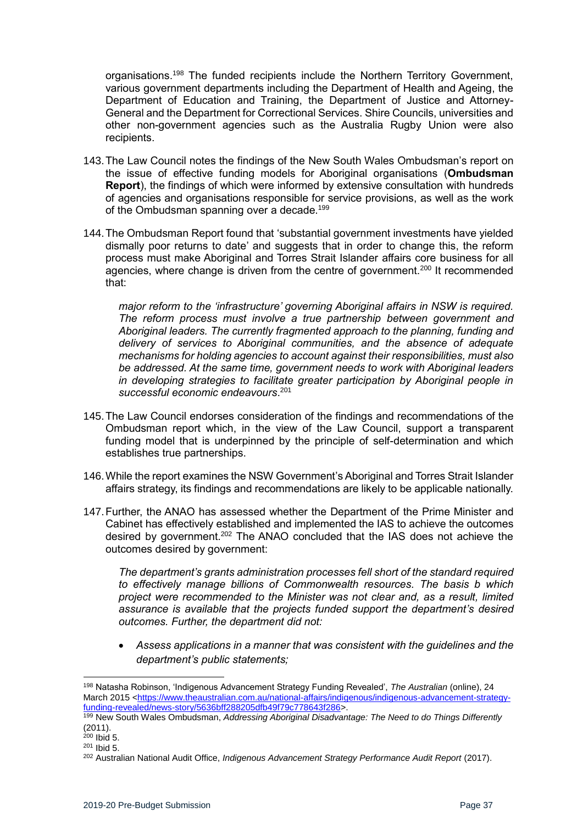organisations.<sup>198</sup> The funded recipients include the Northern Territory Government, various government departments including the Department of Health and Ageing, the Department of Education and Training, the Department of Justice and Attorney-General and the Department for Correctional Services. Shire Councils, universities and other non-government agencies such as the Australia Rugby Union were also recipients.

- 143.The Law Council notes the findings of the New South Wales Ombudsman's report on the issue of effective funding models for Aboriginal organisations (**Ombudsman Report**), the findings of which were informed by extensive consultation with hundreds of agencies and organisations responsible for service provisions, as well as the work of the Ombudsman spanning over a decade.<sup>199</sup>
- 144.The Ombudsman Report found that 'substantial government investments have yielded dismally poor returns to date' and suggests that in order to change this, the reform process must make Aboriginal and Torres Strait Islander affairs core business for all agencies, where change is driven from the centre of government.<sup>200</sup> It recommended that:

*major reform to the 'infrastructure' governing Aboriginal affairs in NSW is required. The reform process must involve a true partnership between government and Aboriginal leaders. The currently fragmented approach to the planning, funding and delivery of services to Aboriginal communities, and the absence of adequate mechanisms for holding agencies to account against their responsibilities, must also be addressed. At the same time, government needs to work with Aboriginal leaders in developing strategies to facilitate greater participation by Aboriginal people in successful economic endeavours*. 201

- 145.The Law Council endorses consideration of the findings and recommendations of the Ombudsman report which, in the view of the Law Council, support a transparent funding model that is underpinned by the principle of self-determination and which establishes true partnerships.
- 146.While the report examines the NSW Government's Aboriginal and Torres Strait Islander affairs strategy, its findings and recommendations are likely to be applicable nationally.
- 147.Further, the ANAO has assessed whether the Department of the Prime Minister and Cabinet has effectively established and implemented the IAS to achieve the outcomes desired by government.<sup>202</sup> The ANAO concluded that the IAS does not achieve the outcomes desired by government:

*The department's grants administration processes fell short of the standard required to effectively manage billions of Commonwealth resources. The basis b which project were recommended to the Minister was not clear and, as a result, limited assurance is available that the projects funded support the department's desired outcomes. Further, the department did not:* 

• *Assess applications in a manner that was consistent with the guidelines and the department's public statements;*

<sup>198</sup> Natasha Robinson, 'Indigenous Advancement Strategy Funding Revealed', *The Australian* (online), 24 March 2015 <https://www.theaustralian.com.au/national-affairs/indigenous/indigenous-advancement-strategyfunding-revealed/news-story/5636bff288205dfb49f79c778643f286>.

<sup>199</sup> New South Wales Ombudsman, *Addressing Aboriginal Disadvantage: The Need to do Things Differently*  (2011).

 $200$  Ibid 5.

<sup>201</sup> Ibid 5.

<sup>&</sup>lt;sup>202</sup> Australian National Audit Office, *Indigenous Advancement Strategy Performance Audit Report* (2017).